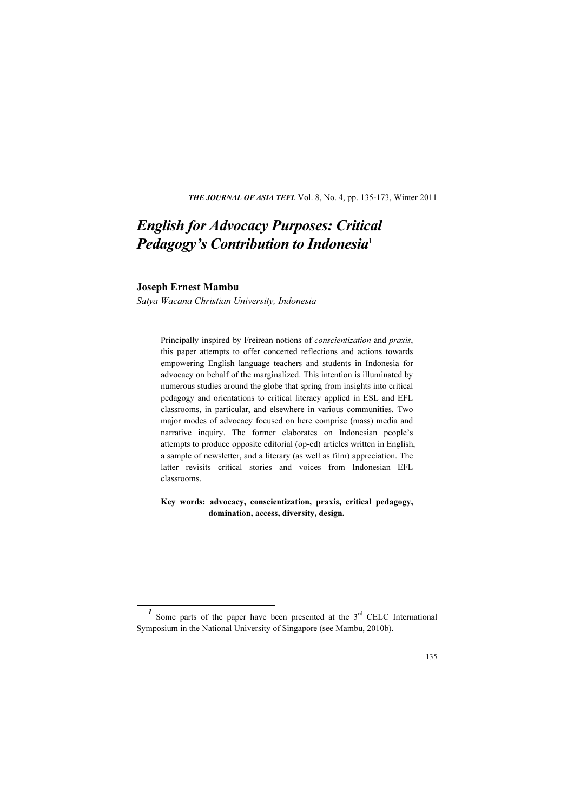THE JOURNAL OF ASIA TEFL Vol. 8, No. 4, pp. 135-173, Winter 2011

# English for Advocacy Purposes: Critical Pedagogy's Contribution to Indonesia<sup>1</sup>

### Joseph Ernest Mambu

Satya Wacana Christian University, Indonesia

Principally inspired by Freirean notions of *conscientization* and *praxis*, this paper attempts to offer concerted reflections and actions towards empowering English language teachers and students in Indonesia for advocacy on behalf of the marginalized. This intention is illuminated by numerous studies around the globe that spring from insights into critical pedagogy and orientations to critical literacy applied in ESL and EFL classrooms, in particular, and elsewhere in various communities. Two major modes of advocacy focused on here comprise (mass) media and narrative inquiry. The former elaborates on Indonesian people's attempts to produce opposite editorial (op-ed) articles written in English, a sample of newsletter, and a literary (as well as film) appreciation. The latter revisits critical stories and voices from Indonesian EFL classrooms.

Key words: advocacy, conscientization, praxis, critical pedagogy, domination, access, diversity, design.

 $\overline{1}$  Some parts of the paper have been presented at the 3<sup>rd</sup> CELC International Symposium in the National University of Singapore (see Mambu, 2010b).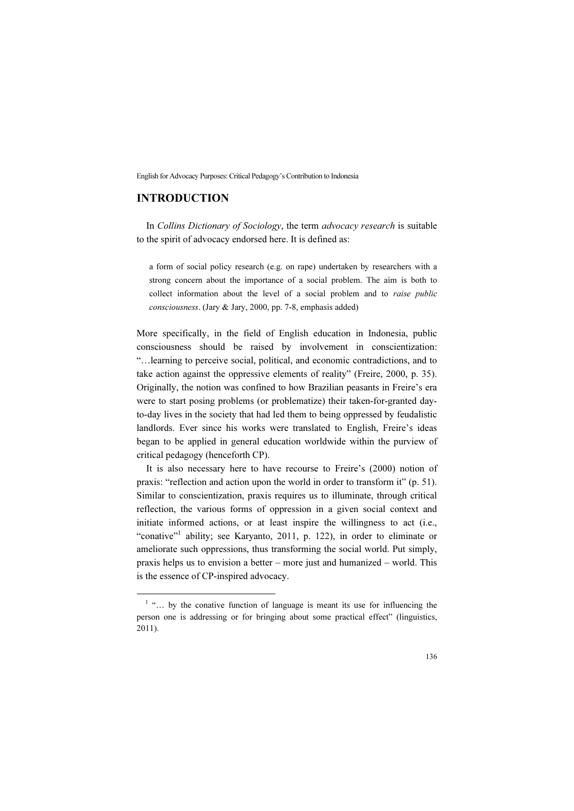# INTRODUCTION

-

In Collins Dictionary of Sociology, the term advocacy research is suitable to the spirit of advocacy endorsed here. It is defined as:

a form of social policy research (e.g. on rape) undertaken by researchers with a strong concern about the importance of a social problem. The aim is both to collect information about the level of a social problem and to *raise public* consciousness. (Jary & Jary, 2000, pp. 7-8, emphasis added)

More specifically, in the field of English education in Indonesia, public consciousness should be raised by involvement in conscientization: "…learning to perceive social, political, and economic contradictions, and to take action against the oppressive elements of reality" (Freire, 2000, p. 35). Originally, the notion was confined to how Brazilian peasants in Freire's era were to start posing problems (or problematize) their taken-for-granted dayto-day lives in the society that had led them to being oppressed by feudalistic landlords. Ever since his works were translated to English, Freire's ideas began to be applied in general education worldwide within the purview of critical pedagogy (henceforth CP).

It is also necessary here to have recourse to Freire's (2000) notion of praxis: "reflection and action upon the world in order to transform it" (p. 51). Similar to conscientization, praxis requires us to illuminate, through critical reflection, the various forms of oppression in a given social context and initiate informed actions, or at least inspire the willingness to act (i.e., "conative"<sup>1</sup> ability; see Karyanto, 2011, p. 122), in order to eliminate or ameliorate such oppressions, thus transforming the social world. Put simply, praxis helps us to envision a better – more just and humanized – world. This is the essence of CP-inspired advocacy.

<sup>&</sup>lt;sup>1</sup> "... by the conative function of language is meant its use for influencing the person one is addressing or for bringing about some practical effect" (linguistics, 2011).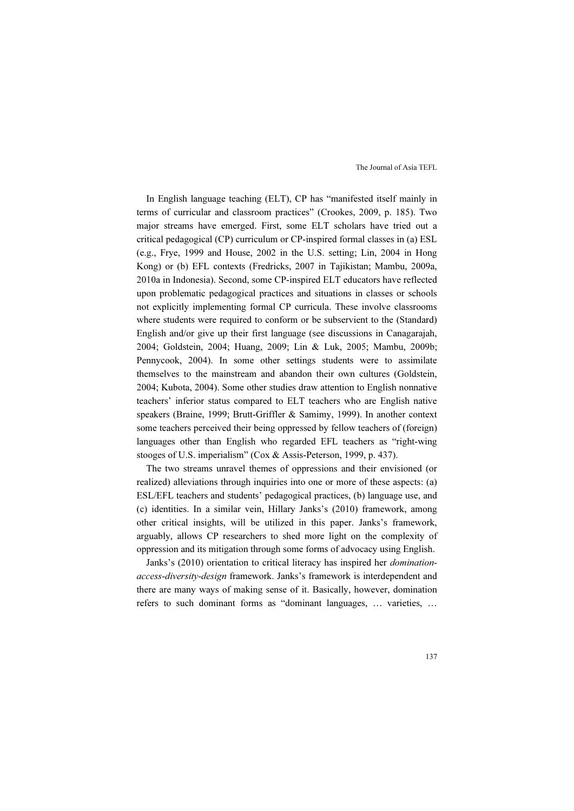In English language teaching (ELT), CP has "manifested itself mainly in terms of curricular and classroom practices" (Crookes, 2009, p. 185). Two major streams have emerged. First, some ELT scholars have tried out a critical pedagogical (CP) curriculum or CP-inspired formal classes in (a) ESL (e.g., Frye, 1999 and House, 2002 in the U.S. setting; Lin, 2004 in Hong Kong) or (b) EFL contexts (Fredricks, 2007 in Tajikistan; Mambu, 2009a, 2010a in Indonesia). Second, some CP-inspired ELT educators have reflected upon problematic pedagogical practices and situations in classes or schools not explicitly implementing formal CP curricula. These involve classrooms where students were required to conform or be subservient to the (Standard) English and/or give up their first language (see discussions in Canagarajah, 2004; Goldstein, 2004; Huang, 2009; Lin & Luk, 2005; Mambu, 2009b; Pennycook, 2004). In some other settings students were to assimilate themselves to the mainstream and abandon their own cultures (Goldstein, 2004; Kubota, 2004). Some other studies draw attention to English nonnative teachers' inferior status compared to ELT teachers who are English native speakers (Braine, 1999; Brutt-Griffler & Samimy, 1999). In another context some teachers perceived their being oppressed by fellow teachers of (foreign) languages other than English who regarded EFL teachers as "right-wing stooges of U.S. imperialism" (Cox & Assis-Peterson, 1999, p. 437).

The two streams unravel themes of oppressions and their envisioned (or realized) alleviations through inquiries into one or more of these aspects: (a) ESL/EFL teachers and students' pedagogical practices, (b) language use, and (c) identities. In a similar vein, Hillary Janks's (2010) framework, among other critical insights, will be utilized in this paper. Janks's framework, arguably, allows CP researchers to shed more light on the complexity of oppression and its mitigation through some forms of advocacy using English.

Janks's (2010) orientation to critical literacy has inspired her dominationaccess-diversity-design framework. Janks's framework is interdependent and there are many ways of making sense of it. Basically, however, domination refers to such dominant forms as "dominant languages, … varieties, …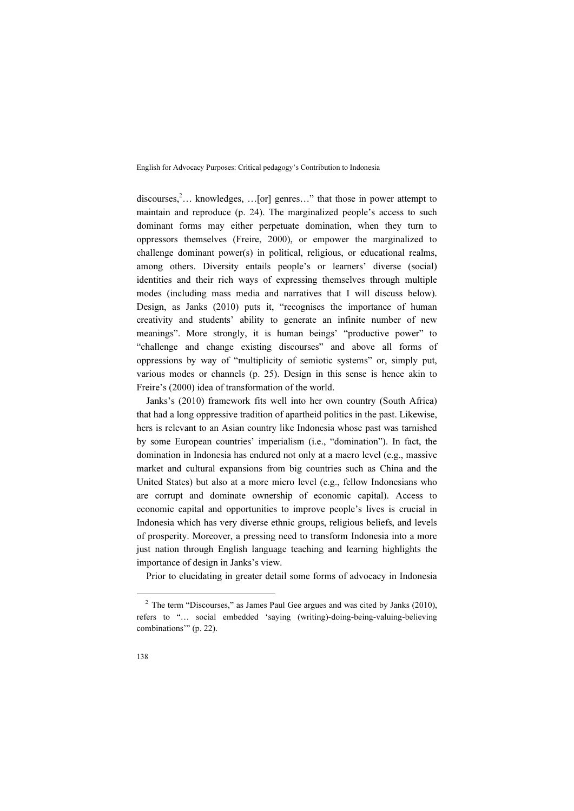discourses,<sup>2</sup>... knowledges, ...[or] genres..." that those in power attempt to maintain and reproduce (p. 24). The marginalized people's access to such dominant forms may either perpetuate domination, when they turn to oppressors themselves (Freire, 2000), or empower the marginalized to challenge dominant power(s) in political, religious, or educational realms, among others. Diversity entails people's or learners' diverse (social) identities and their rich ways of expressing themselves through multiple modes (including mass media and narratives that I will discuss below). Design, as Janks (2010) puts it, "recognises the importance of human creativity and students' ability to generate an infinite number of new meanings". More strongly, it is human beings' "productive power" to "challenge and change existing discourses" and above all forms of oppressions by way of "multiplicity of semiotic systems" or, simply put, various modes or channels (p. 25). Design in this sense is hence akin to Freire's (2000) idea of transformation of the world.

Janks's (2010) framework fits well into her own country (South Africa) that had a long oppressive tradition of apartheid politics in the past. Likewise, hers is relevant to an Asian country like Indonesia whose past was tarnished by some European countries' imperialism (i.e., "domination"). In fact, the domination in Indonesia has endured not only at a macro level (e.g., massive market and cultural expansions from big countries such as China and the United States) but also at a more micro level (e.g., fellow Indonesians who are corrupt and dominate ownership of economic capital). Access to economic capital and opportunities to improve people's lives is crucial in Indonesia which has very diverse ethnic groups, religious beliefs, and levels of prosperity. Moreover, a pressing need to transform Indonesia into a more just nation through English language teaching and learning highlights the importance of design in Janks's view.

Prior to elucidating in greater detail some forms of advocacy in Indonesia

 $2$  The term "Discourses," as James Paul Gee argues and was cited by Janks (2010), refers to "… social embedded 'saying (writing)-doing-being-valuing-believing combinations'" (p. 22).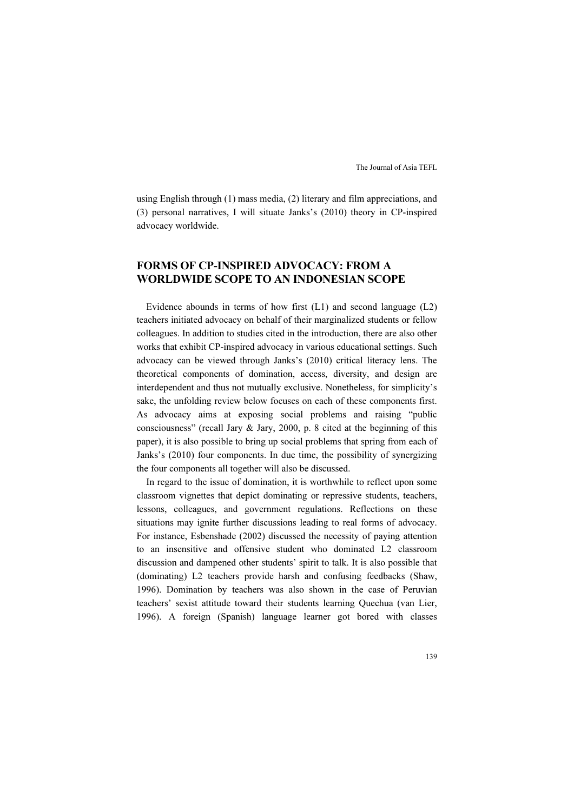using English through (1) mass media, (2) literary and film appreciations, and (3) personal narratives, I will situate Janks's (2010) theory in CP-inspired advocacy worldwide.

# FORMS OF CP-INSPIRED ADVOCACY: FROM A WORLDWIDE SCOPE TO AN INDONESIAN SCOPE

Evidence abounds in terms of how first (L1) and second language (L2) teachers initiated advocacy on behalf of their marginalized students or fellow colleagues. In addition to studies cited in the introduction, there are also other works that exhibit CP-inspired advocacy in various educational settings. Such advocacy can be viewed through Janks's (2010) critical literacy lens. The theoretical components of domination, access, diversity, and design are interdependent and thus not mutually exclusive. Nonetheless, for simplicity's sake, the unfolding review below focuses on each of these components first. As advocacy aims at exposing social problems and raising "public consciousness" (recall Jary & Jary, 2000, p. 8 cited at the beginning of this paper), it is also possible to bring up social problems that spring from each of Janks's (2010) four components. In due time, the possibility of synergizing the four components all together will also be discussed.

In regard to the issue of domination, it is worthwhile to reflect upon some classroom vignettes that depict dominating or repressive students, teachers, lessons, colleagues, and government regulations. Reflections on these situations may ignite further discussions leading to real forms of advocacy. For instance, Esbenshade (2002) discussed the necessity of paying attention to an insensitive and offensive student who dominated L2 classroom discussion and dampened other students' spirit to talk. It is also possible that (dominating) L2 teachers provide harsh and confusing feedbacks (Shaw, 1996). Domination by teachers was also shown in the case of Peruvian teachers' sexist attitude toward their students learning Quechua (van Lier, 1996). A foreign (Spanish) language learner got bored with classes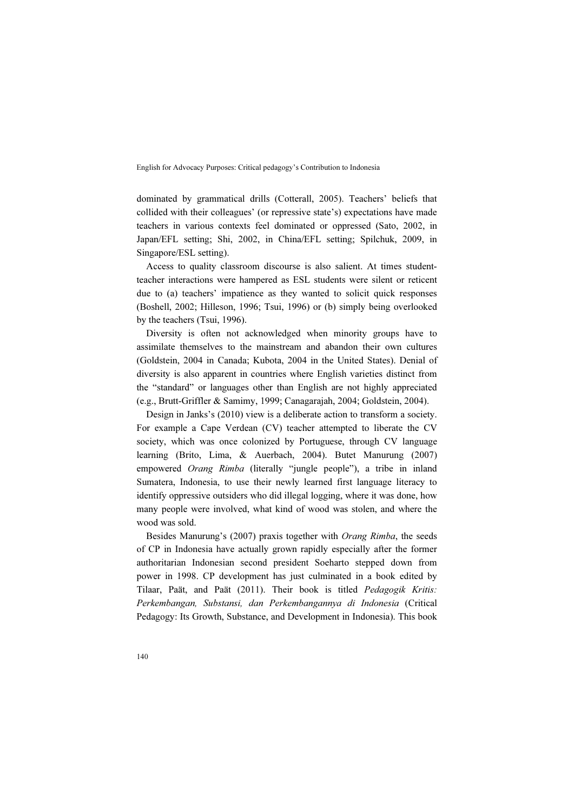dominated by grammatical drills (Cotterall, 2005). Teachers' beliefs that collided with their colleagues' (or repressive state's) expectations have made teachers in various contexts feel dominated or oppressed (Sato, 2002, in Japan/EFL setting; Shi, 2002, in China/EFL setting; Spilchuk, 2009, in Singapore/ESL setting).

Access to quality classroom discourse is also salient. At times studentteacher interactions were hampered as ESL students were silent or reticent due to (a) teachers' impatience as they wanted to solicit quick responses (Boshell, 2002; Hilleson, 1996; Tsui, 1996) or (b) simply being overlooked by the teachers (Tsui, 1996).

Diversity is often not acknowledged when minority groups have to assimilate themselves to the mainstream and abandon their own cultures (Goldstein, 2004 in Canada; Kubota, 2004 in the United States). Denial of diversity is also apparent in countries where English varieties distinct from the "standard" or languages other than English are not highly appreciated (e.g., Brutt-Griffler & Samimy, 1999; Canagarajah, 2004; Goldstein, 2004).

Design in Janks's (2010) view is a deliberate action to transform a society. For example a Cape Verdean (CV) teacher attempted to liberate the CV society, which was once colonized by Portuguese, through CV language learning (Brito, Lima, & Auerbach, 2004). Butet Manurung (2007) empowered Orang Rimba (literally "jungle people"), a tribe in inland Sumatera, Indonesia, to use their newly learned first language literacy to identify oppressive outsiders who did illegal logging, where it was done, how many people were involved, what kind of wood was stolen, and where the wood was sold.

Besides Manurung's (2007) praxis together with Orang Rimba, the seeds of CP in Indonesia have actually grown rapidly especially after the former authoritarian Indonesian second president Soeharto stepped down from power in 1998. CP development has just culminated in a book edited by Tilaar, Paät, and Paät (2011). Their book is titled Pedagogik Kritis: Perkembangan, Substansi, dan Perkembangannya di Indonesia (Critical Pedagogy: Its Growth, Substance, and Development in Indonesia). This book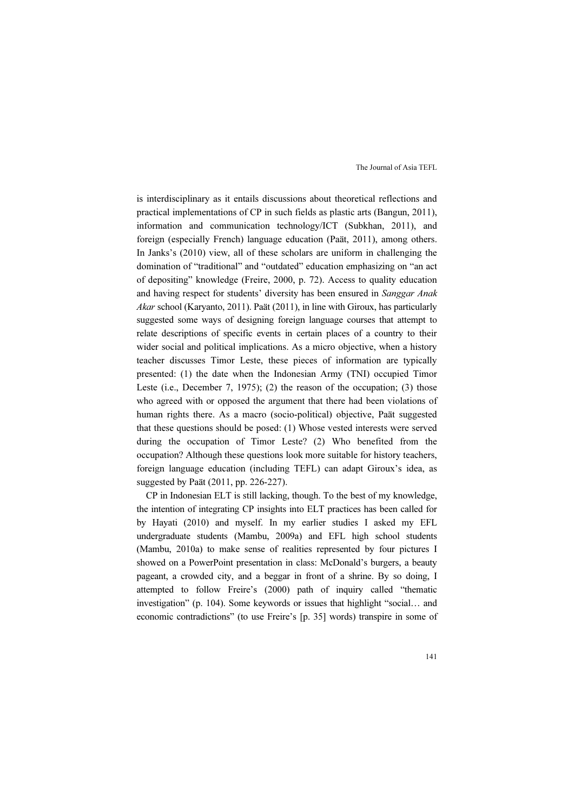is interdisciplinary as it entails discussions about theoretical reflections and practical implementations of CP in such fields as plastic arts (Bangun, 2011), information and communication technology/ICT (Subkhan, 2011), and foreign (especially French) language education (Paät, 2011), among others. In Janks's (2010) view, all of these scholars are uniform in challenging the domination of "traditional" and "outdated" education emphasizing on "an act of depositing" knowledge (Freire, 2000, p. 72). Access to quality education and having respect for students' diversity has been ensured in Sanggar Anak Akar school (Karyanto, 2011). Paät (2011), in line with Giroux, has particularly suggested some ways of designing foreign language courses that attempt to relate descriptions of specific events in certain places of a country to their wider social and political implications. As a micro objective, when a history teacher discusses Timor Leste, these pieces of information are typically presented: (1) the date when the Indonesian Army (TNI) occupied Timor Leste (i.e., December 7, 1975); (2) the reason of the occupation; (3) those who agreed with or opposed the argument that there had been violations of human rights there. As a macro (socio-political) objective, Paät suggested that these questions should be posed: (1) Whose vested interests were served during the occupation of Timor Leste? (2) Who benefited from the occupation? Although these questions look more suitable for history teachers, foreign language education (including TEFL) can adapt Giroux's idea, as suggested by Paät (2011, pp. 226-227).

CP in Indonesian ELT is still lacking, though. To the best of my knowledge, the intention of integrating CP insights into ELT practices has been called for by Hayati (2010) and myself. In my earlier studies I asked my EFL undergraduate students (Mambu, 2009a) and EFL high school students (Mambu, 2010a) to make sense of realities represented by four pictures I showed on a PowerPoint presentation in class: McDonald's burgers, a beauty pageant, a crowded city, and a beggar in front of a shrine. By so doing, I attempted to follow Freire's (2000) path of inquiry called "thematic investigation" (p. 104). Some keywords or issues that highlight "social… and economic contradictions" (to use Freire's [p. 35] words) transpire in some of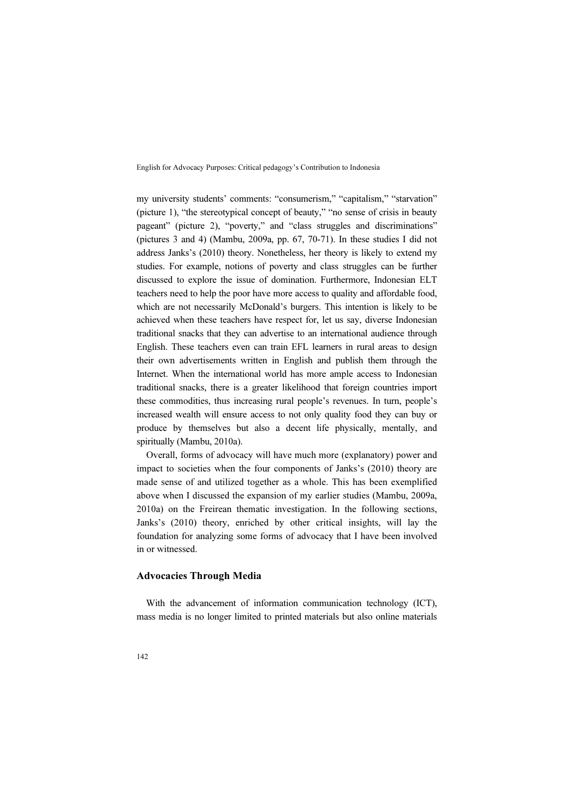my university students' comments: "consumerism," "capitalism," "starvation" (picture 1), "the stereotypical concept of beauty," "no sense of crisis in beauty pageant" (picture 2), "poverty," and "class struggles and discriminations" (pictures 3 and 4) (Mambu, 2009a, pp. 67, 70-71). In these studies I did not address Janks's (2010) theory. Nonetheless, her theory is likely to extend my studies. For example, notions of poverty and class struggles can be further discussed to explore the issue of domination. Furthermore, Indonesian ELT teachers need to help the poor have more access to quality and affordable food, which are not necessarily McDonald's burgers. This intention is likely to be achieved when these teachers have respect for, let us say, diverse Indonesian traditional snacks that they can advertise to an international audience through English. These teachers even can train EFL learners in rural areas to design their own advertisements written in English and publish them through the Internet. When the international world has more ample access to Indonesian traditional snacks, there is a greater likelihood that foreign countries import these commodities, thus increasing rural people's revenues. In turn, people's increased wealth will ensure access to not only quality food they can buy or produce by themselves but also a decent life physically, mentally, and spiritually (Mambu, 2010a).

Overall, forms of advocacy will have much more (explanatory) power and impact to societies when the four components of Janks's (2010) theory are made sense of and utilized together as a whole. This has been exemplified above when I discussed the expansion of my earlier studies (Mambu, 2009a, 2010a) on the Freirean thematic investigation. In the following sections, Janks's (2010) theory, enriched by other critical insights, will lay the foundation for analyzing some forms of advocacy that I have been involved in or witnessed.

### Advocacies Through Media

With the advancement of information communication technology (ICT), mass media is no longer limited to printed materials but also online materials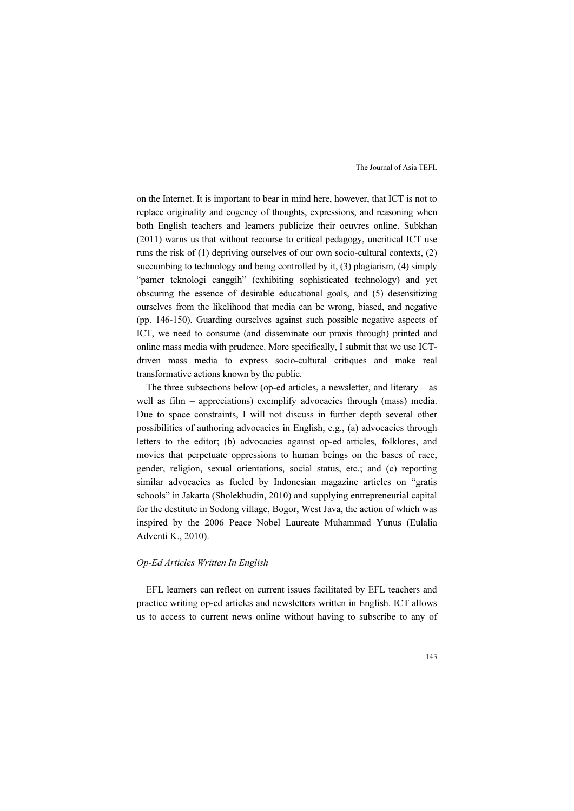on the Internet. It is important to bear in mind here, however, that ICT is not to replace originality and cogency of thoughts, expressions, and reasoning when both English teachers and learners publicize their oeuvres online. Subkhan (2011) warns us that without recourse to critical pedagogy, uncritical ICT use runs the risk of (1) depriving ourselves of our own socio-cultural contexts, (2) succumbing to technology and being controlled by it, (3) plagiarism, (4) simply "pamer teknologi canggih" (exhibiting sophisticated technology) and yet obscuring the essence of desirable educational goals, and (5) desensitizing ourselves from the likelihood that media can be wrong, biased, and negative (pp. 146-150). Guarding ourselves against such possible negative aspects of ICT, we need to consume (and disseminate our praxis through) printed and online mass media with prudence. More specifically, I submit that we use ICTdriven mass media to express socio-cultural critiques and make real transformative actions known by the public.

The three subsections below (op-ed articles, a newsletter, and literary  $-$  as well as film – appreciations) exemplify advocacies through (mass) media. Due to space constraints, I will not discuss in further depth several other possibilities of authoring advocacies in English, e.g., (a) advocacies through letters to the editor; (b) advocacies against op-ed articles, folklores, and movies that perpetuate oppressions to human beings on the bases of race, gender, religion, sexual orientations, social status, etc.; and (c) reporting similar advocacies as fueled by Indonesian magazine articles on "gratis schools" in Jakarta (Sholekhudin, 2010) and supplying entrepreneurial capital for the destitute in Sodong village, Bogor, West Java, the action of which was inspired by the 2006 Peace Nobel Laureate Muhammad Yunus (Eulalia Adventi K., 2010).

### Op-Ed Articles Written In English

EFL learners can reflect on current issues facilitated by EFL teachers and practice writing op-ed articles and newsletters written in English. ICT allows us to access to current news online without having to subscribe to any of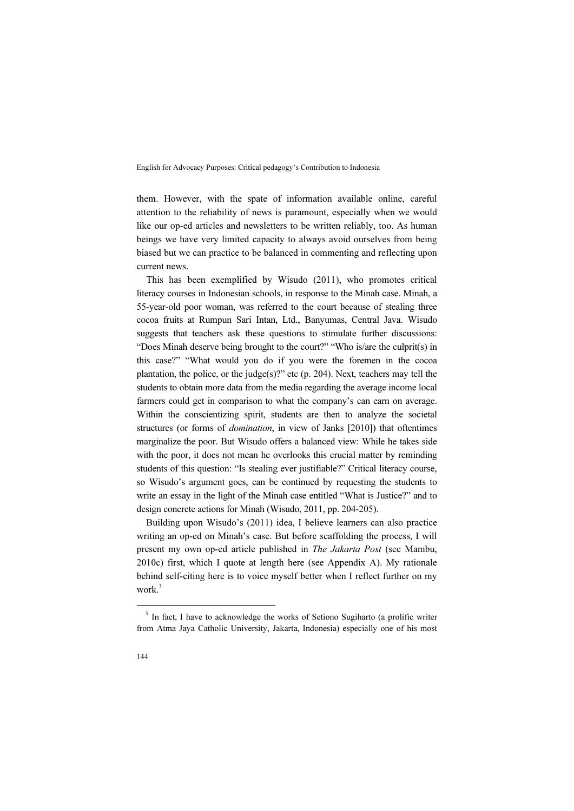them. However, with the spate of information available online, careful attention to the reliability of news is paramount, especially when we would like our op-ed articles and newsletters to be written reliably, too. As human beings we have very limited capacity to always avoid ourselves from being biased but we can practice to be balanced in commenting and reflecting upon current news.

This has been exemplified by Wisudo (2011), who promotes critical literacy courses in Indonesian schools, in response to the Minah case. Minah, a 55-year-old poor woman, was referred to the court because of stealing three cocoa fruits at Rumpun Sari Intan, Ltd., Banyumas, Central Java. Wisudo suggests that teachers ask these questions to stimulate further discussions: "Does Minah deserve being brought to the court?" "Who is/are the culprit(s) in this case?" "What would you do if you were the foremen in the cocoa plantation, the police, or the judge(s)?" etc (p. 204). Next, teachers may tell the students to obtain more data from the media regarding the average income local farmers could get in comparison to what the company's can earn on average. Within the conscientizing spirit, students are then to analyze the societal structures (or forms of domination, in view of Janks [2010]) that oftentimes marginalize the poor. But Wisudo offers a balanced view: While he takes side with the poor, it does not mean he overlooks this crucial matter by reminding students of this question: "Is stealing ever justifiable?" Critical literacy course, so Wisudo's argument goes, can be continued by requesting the students to write an essay in the light of the Minah case entitled "What is Justice?" and to design concrete actions for Minah (Wisudo, 2011, pp. 204-205).

Building upon Wisudo's (2011) idea, I believe learners can also practice writing an op-ed on Minah's case. But before scaffolding the process, I will present my own op-ed article published in The Jakarta Post (see Mambu, 2010c) first, which I quote at length here (see Appendix A). My rationale behind self-citing here is to voice myself better when I reflect further on my work.<sup>3</sup>

<sup>&</sup>lt;sup>3</sup> In fact, I have to acknowledge the works of Setiono Sugiharto (a prolific writer from Atma Jaya Catholic University, Jakarta, Indonesia) especially one of his most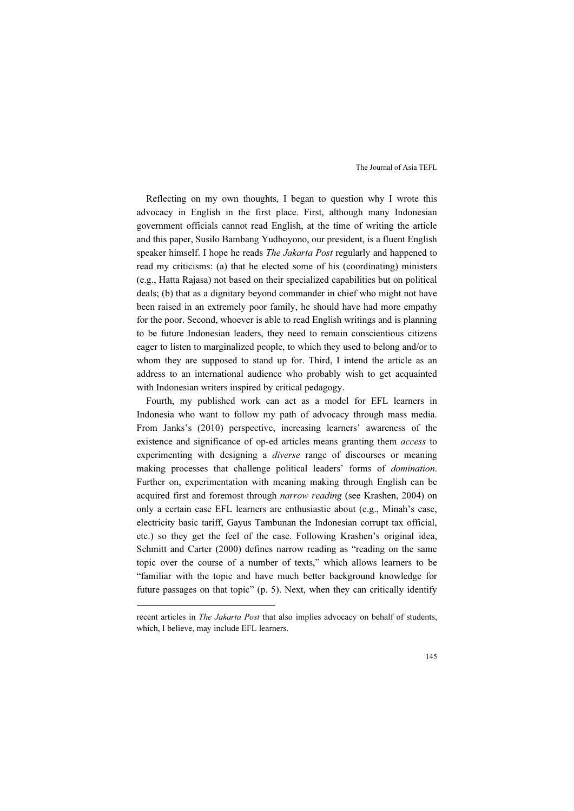Reflecting on my own thoughts, I began to question why I wrote this advocacy in English in the first place. First, although many Indonesian government officials cannot read English, at the time of writing the article and this paper, Susilo Bambang Yudhoyono, our president, is a fluent English speaker himself. I hope he reads The Jakarta Post regularly and happened to read my criticisms: (a) that he elected some of his (coordinating) ministers (e.g., Hatta Rajasa) not based on their specialized capabilities but on political deals; (b) that as a dignitary beyond commander in chief who might not have been raised in an extremely poor family, he should have had more empathy for the poor. Second, whoever is able to read English writings and is planning to be future Indonesian leaders, they need to remain conscientious citizens eager to listen to marginalized people, to which they used to belong and/or to whom they are supposed to stand up for. Third, I intend the article as an address to an international audience who probably wish to get acquainted with Indonesian writers inspired by critical pedagogy.

Fourth, my published work can act as a model for EFL learners in Indonesia who want to follow my path of advocacy through mass media. From Janks's (2010) perspective, increasing learners' awareness of the existence and significance of op-ed articles means granting them access to experimenting with designing a diverse range of discourses or meaning making processes that challenge political leaders' forms of domination. Further on, experimentation with meaning making through English can be acquired first and foremost through narrow reading (see Krashen, 2004) on only a certain case EFL learners are enthusiastic about (e.g., Minah's case, electricity basic tariff, Gayus Tambunan the Indonesian corrupt tax official, etc.) so they get the feel of the case. Following Krashen's original idea, Schmitt and Carter (2000) defines narrow reading as "reading on the same topic over the course of a number of texts," which allows learners to be "familiar with the topic and have much better background knowledge for future passages on that topic" (p. 5). Next, when they can critically identify

recent articles in The Jakarta Post that also implies advocacy on behalf of students, which, I believe, may include EFL learners.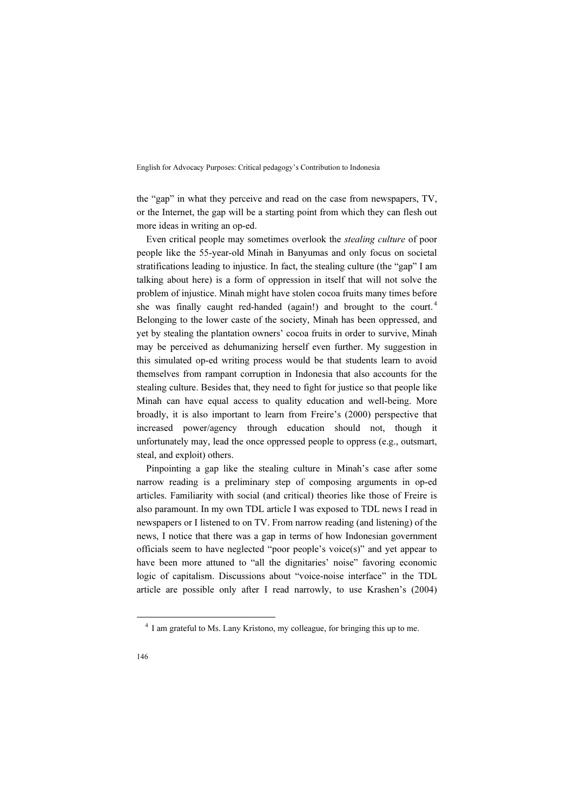the "gap" in what they perceive and read on the case from newspapers, TV, or the Internet, the gap will be a starting point from which they can flesh out more ideas in writing an op-ed.

Even critical people may sometimes overlook the stealing culture of poor people like the 55-year-old Minah in Banyumas and only focus on societal stratifications leading to injustice. In fact, the stealing culture (the "gap" I am talking about here) is a form of oppression in itself that will not solve the problem of injustice. Minah might have stolen cocoa fruits many times before she was finally caught red-handed (again!) and brought to the court.<sup>4</sup> Belonging to the lower caste of the society, Minah has been oppressed, and yet by stealing the plantation owners' cocoa fruits in order to survive, Minah may be perceived as dehumanizing herself even further. My suggestion in this simulated op-ed writing process would be that students learn to avoid themselves from rampant corruption in Indonesia that also accounts for the stealing culture. Besides that, they need to fight for justice so that people like Minah can have equal access to quality education and well-being. More broadly, it is also important to learn from Freire's (2000) perspective that increased power/agency through education should not, though it unfortunately may, lead the once oppressed people to oppress (e.g., outsmart, steal, and exploit) others.

Pinpointing a gap like the stealing culture in Minah's case after some narrow reading is a preliminary step of composing arguments in op-ed articles. Familiarity with social (and critical) theories like those of Freire is also paramount. In my own TDL article I was exposed to TDL news I read in newspapers or I listened to on TV. From narrow reading (and listening) of the news, I notice that there was a gap in terms of how Indonesian government officials seem to have neglected "poor people's voice(s)" and yet appear to have been more attuned to "all the dignitaries' noise" favoring economic logic of capitalism. Discussions about "voice-noise interface" in the TDL article are possible only after I read narrowly, to use Krashen's (2004)

<sup>&</sup>lt;sup>4</sup> I am grateful to Ms. Lany Kristono, my colleague, for bringing this up to me.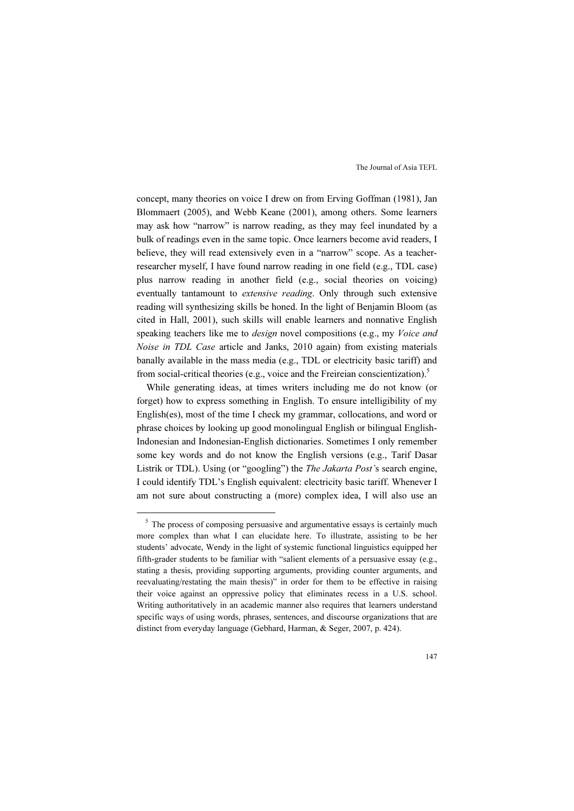concept, many theories on voice I drew on from Erving Goffman (1981), Jan Blommaert (2005), and Webb Keane (2001), among others. Some learners may ask how "narrow" is narrow reading, as they may feel inundated by a bulk of readings even in the same topic. Once learners become avid readers, I believe, they will read extensively even in a "narrow" scope. As a teacherresearcher myself, I have found narrow reading in one field (e.g., TDL case) plus narrow reading in another field (e.g., social theories on voicing) eventually tantamount to extensive reading. Only through such extensive reading will synthesizing skills be honed. In the light of Benjamin Bloom (as cited in Hall, 2001), such skills will enable learners and nonnative English speaking teachers like me to design novel compositions (e.g., my Voice and Noise in TDL Case article and Janks, 2010 again) from existing materials banally available in the mass media (e.g., TDL or electricity basic tariff) and from social-critical theories (e.g., voice and the Freireian conscientization).<sup>5</sup>

While generating ideas, at times writers including me do not know (or forget) how to express something in English. To ensure intelligibility of my English(es), most of the time I check my grammar, collocations, and word or phrase choices by looking up good monolingual English or bilingual English-Indonesian and Indonesian-English dictionaries. Sometimes I only remember some key words and do not know the English versions (e.g., Tarif Dasar Listrik or TDL). Using (or "googling") the The Jakarta Post's search engine, I could identify TDL's English equivalent: electricity basic tariff. Whenever I am not sure about constructing a (more) complex idea, I will also use an

<sup>&</sup>lt;sup>5</sup> The process of composing persuasive and argumentative essays is certainly much more complex than what I can elucidate here. To illustrate, assisting to be her students' advocate, Wendy in the light of systemic functional linguistics equipped her fifth-grader students to be familiar with "salient elements of a persuasive essay (e.g., stating a thesis, providing supporting arguments, providing counter arguments, and reevaluating/restating the main thesis)" in order for them to be effective in raising their voice against an oppressive policy that eliminates recess in a U.S. school. Writing authoritatively in an academic manner also requires that learners understand specific ways of using words, phrases, sentences, and discourse organizations that are distinct from everyday language (Gebhard, Harman, & Seger, 2007, p. 424).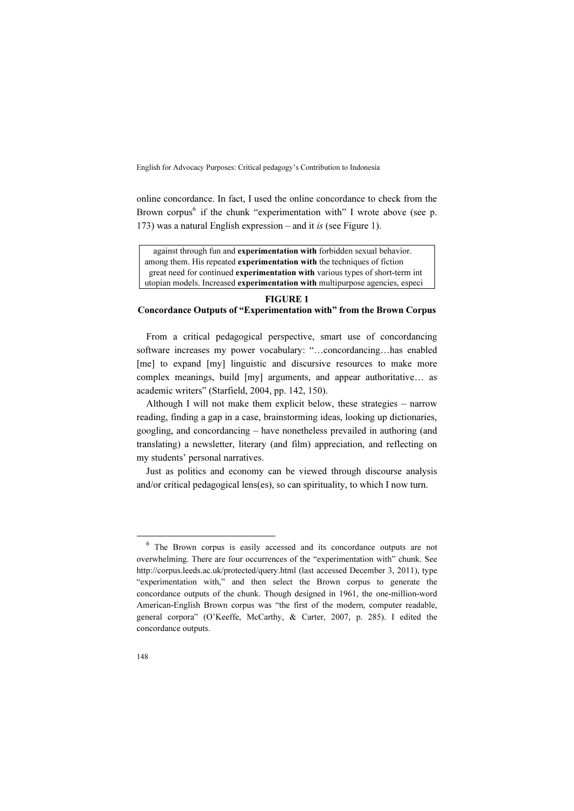online concordance. In fact, I used the online concordance to check from the Brown corpus<sup>6</sup> if the chunk "experimentation with" I wrote above (see p. 173) was a natural English expression – and it is (see Figure 1).

 against through fun and experimentation with forbidden sexual behavior. among them. His repeated experimentation with the techniques of fiction great need for continued experimentation with various types of short-term int utopian models. Increased experimentation with multipurpose agencies, especi

### FIGURE 1

# Concordance Outputs of "Experimentation with" from the Brown Corpus

From a critical pedagogical perspective, smart use of concordancing software increases my power vocabulary: "…concordancing…has enabled [me] to expand [my] linguistic and discursive resources to make more complex meanings, build [my] arguments, and appear authoritative… as academic writers" (Starfield, 2004, pp. 142, 150).

Although I will not make them explicit below, these strategies – narrow reading, finding a gap in a case, brainstorming ideas, looking up dictionaries, googling, and concordancing – have nonetheless prevailed in authoring (and translating) a newsletter, literary (and film) appreciation, and reflecting on my students' personal narratives.

Just as politics and economy can be viewed through discourse analysis and/or critical pedagogical lens(es), so can spirituality, to which I now turn.

<sup>&</sup>lt;sup>6</sup> The Brown corpus is easily accessed and its concordance outputs are not overwhelming. There are four occurrences of the "experimentation with" chunk. See http://corpus.leeds.ac.uk/protected/query.html (last accessed December 3, 2011), type "experimentation with," and then select the Brown corpus to generate the concordance outputs of the chunk. Though designed in 1961, the one-million-word American-English Brown corpus was "the first of the modern, computer readable, general corpora" (O'Keeffe, McCarthy, & Carter, 2007, p. 285). I edited the concordance outputs.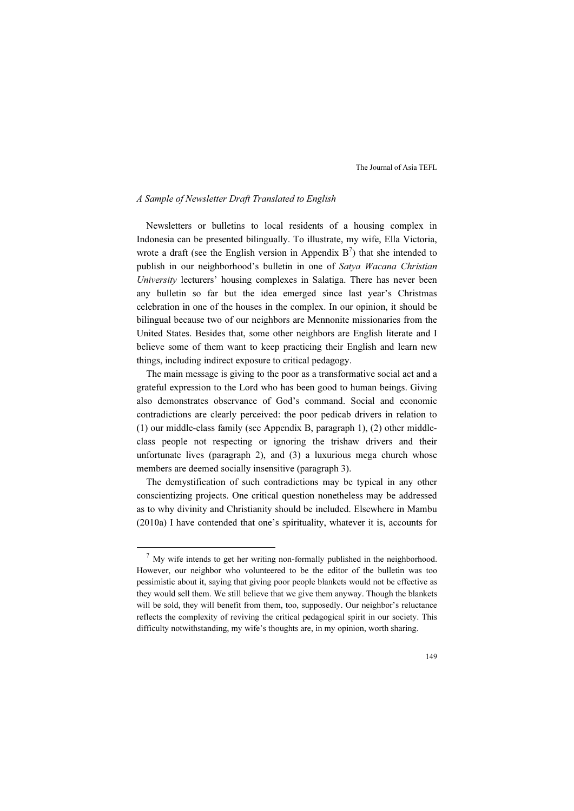#### A Sample of Newsletter Draft Translated to English

Newsletters or bulletins to local residents of a housing complex in Indonesia can be presented bilingually. To illustrate, my wife, Ella Victoria, wrote a draft (see the English version in Appendix  $B^7$ ) that she intended to publish in our neighborhood's bulletin in one of Satya Wacana Christian University lecturers' housing complexes in Salatiga. There has never been any bulletin so far but the idea emerged since last year's Christmas celebration in one of the houses in the complex. In our opinion, it should be bilingual because two of our neighbors are Mennonite missionaries from the United States. Besides that, some other neighbors are English literate and I believe some of them want to keep practicing their English and learn new things, including indirect exposure to critical pedagogy.

The main message is giving to the poor as a transformative social act and a grateful expression to the Lord who has been good to human beings. Giving also demonstrates observance of God's command. Social and economic contradictions are clearly perceived: the poor pedicab drivers in relation to (1) our middle-class family (see Appendix B, paragraph 1), (2) other middleclass people not respecting or ignoring the trishaw drivers and their unfortunate lives (paragraph 2), and (3) a luxurious mega church whose members are deemed socially insensitive (paragraph 3).

The demystification of such contradictions may be typical in any other conscientizing projects. One critical question nonetheless may be addressed as to why divinity and Christianity should be included. Elsewhere in Mambu (2010a) I have contended that one's spirituality, whatever it is, accounts for

 $\frac{1}{7}$  $\frac{7}{1}$  My wife intends to get her writing non-formally published in the neighborhood. However, our neighbor who volunteered to be the editor of the bulletin was too pessimistic about it, saying that giving poor people blankets would not be effective as they would sell them. We still believe that we give them anyway. Though the blankets will be sold, they will benefit from them, too, supposedly. Our neighbor's reluctance reflects the complexity of reviving the critical pedagogical spirit in our society. This difficulty notwithstanding, my wife's thoughts are, in my opinion, worth sharing.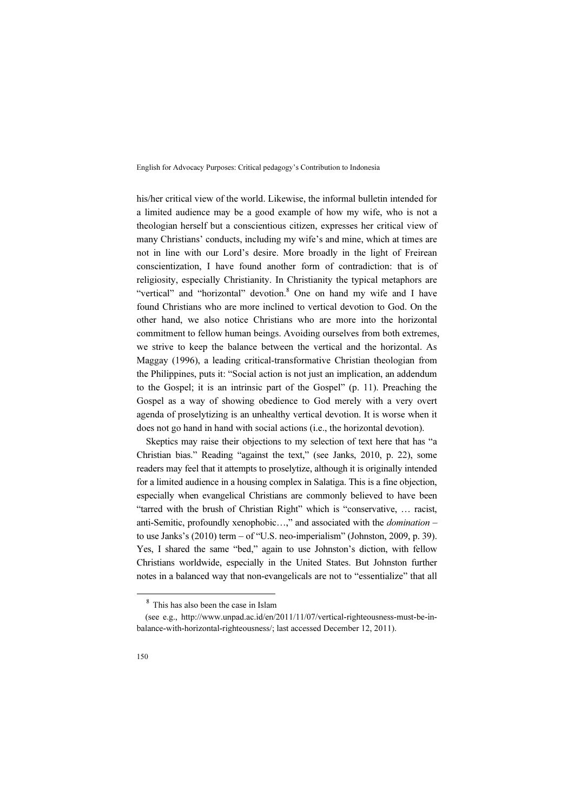his/her critical view of the world. Likewise, the informal bulletin intended for a limited audience may be a good example of how my wife, who is not a theologian herself but a conscientious citizen, expresses her critical view of many Christians' conducts, including my wife's and mine, which at times are not in line with our Lord's desire. More broadly in the light of Freirean conscientization, I have found another form of contradiction: that is of religiosity, especially Christianity. In Christianity the typical metaphors are "vertical" and "horizontal" devotion.<sup>8</sup> One on hand my wife and I have found Christians who are more inclined to vertical devotion to God. On the other hand, we also notice Christians who are more into the horizontal commitment to fellow human beings. Avoiding ourselves from both extremes, we strive to keep the balance between the vertical and the horizontal. As Maggay (1996), a leading critical-transformative Christian theologian from the Philippines, puts it: "Social action is not just an implication, an addendum to the Gospel; it is an intrinsic part of the Gospel" (p. 11). Preaching the Gospel as a way of showing obedience to God merely with a very overt agenda of proselytizing is an unhealthy vertical devotion. It is worse when it does not go hand in hand with social actions (i.e., the horizontal devotion).

Skeptics may raise their objections to my selection of text here that has "a Christian bias." Reading "against the text," (see Janks, 2010, p. 22), some readers may feel that it attempts to proselytize, although it is originally intended for a limited audience in a housing complex in Salatiga. This is a fine objection, especially when evangelical Christians are commonly believed to have been "tarred with the brush of Christian Right" which is "conservative, … racist, anti-Semitic, profoundly xenophobic…," and associated with the domination – to use Janks's  $(2010)$  term – of "U.S. neo-imperialism" (Johnston, 2009, p. 39). Yes, I shared the same "bed," again to use Johnston's diction, with fellow Christians worldwide, especially in the United States. But Johnston further notes in a balanced way that non-evangelicals are not to "essentialize" that all

8 This has also been the case in Islam

<sup>(</sup>see e.g., http://www.unpad.ac.id/en/2011/11/07/vertical-righteousness-must-be-inbalance-with-horizontal-righteousness/; last accessed December 12, 2011).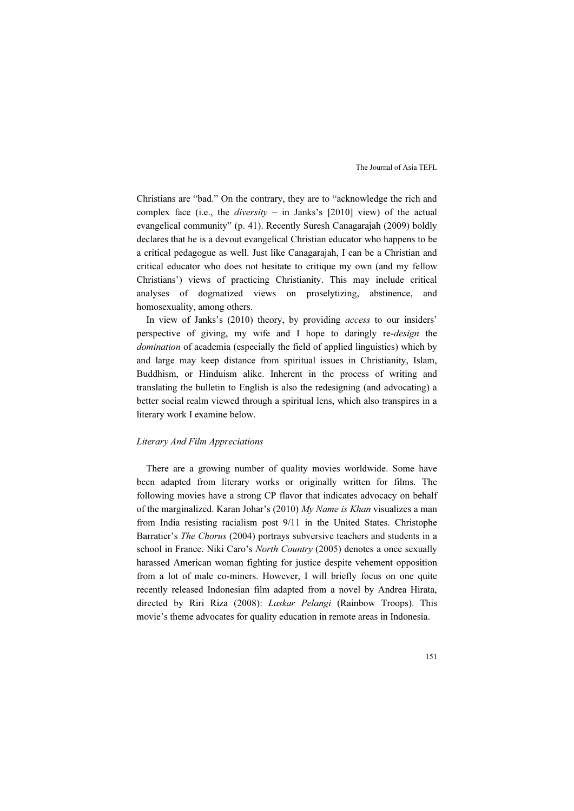Christians are "bad." On the contrary, they are to "acknowledge the rich and complex face (i.e., the *diversity –* in Janks's [2010] view) of the actual evangelical community" (p. 41). Recently Suresh Canagarajah (2009) boldly declares that he is a devout evangelical Christian educator who happens to be a critical pedagogue as well. Just like Canagarajah, I can be a Christian and critical educator who does not hesitate to critique my own (and my fellow Christians') views of practicing Christianity. This may include critical analyses of dogmatized views on proselytizing, abstinence, and homosexuality, among others.

In view of Janks's (2010) theory, by providing access to our insiders' perspective of giving, my wife and I hope to daringly re-design the domination of academia (especially the field of applied linguistics) which by and large may keep distance from spiritual issues in Christianity, Islam, Buddhism, or Hinduism alike. Inherent in the process of writing and translating the bulletin to English is also the redesigning (and advocating) a better social realm viewed through a spiritual lens, which also transpires in a literary work I examine below.

#### Literary And Film Appreciations

There are a growing number of quality movies worldwide. Some have been adapted from literary works or originally written for films. The following movies have a strong CP flavor that indicates advocacy on behalf of the marginalized. Karan Johar's (2010) My Name is Khan visualizes a man from India resisting racialism post 9/11 in the United States. Christophe Barratier's The Chorus (2004) portrays subversive teachers and students in a school in France. Niki Caro's North Country (2005) denotes a once sexually harassed American woman fighting for justice despite vehement opposition from a lot of male co-miners. However, I will briefly focus on one quite recently released Indonesian film adapted from a novel by Andrea Hirata, directed by Riri Riza (2008): Laskar Pelangi (Rainbow Troops). This movie's theme advocates for quality education in remote areas in Indonesia.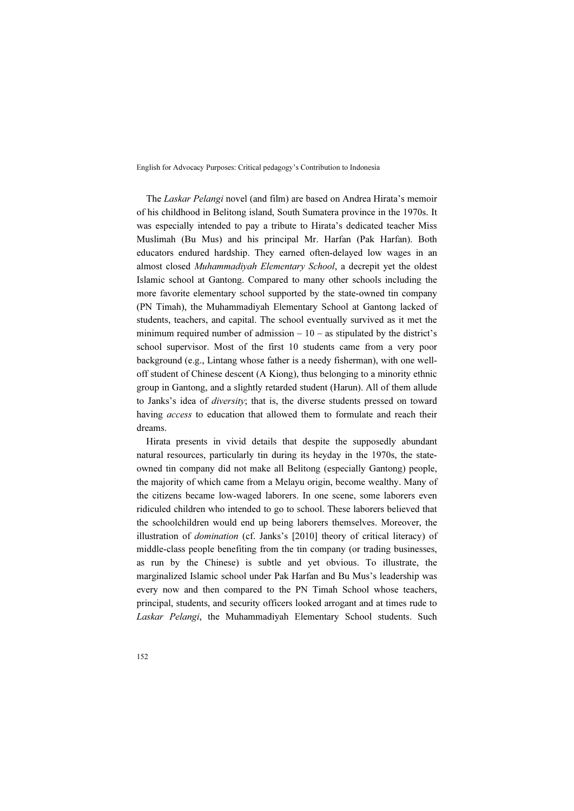The Laskar Pelangi novel (and film) are based on Andrea Hirata's memoir of his childhood in Belitong island, South Sumatera province in the 1970s. It was especially intended to pay a tribute to Hirata's dedicated teacher Miss Muslimah (Bu Mus) and his principal Mr. Harfan (Pak Harfan). Both educators endured hardship. They earned often-delayed low wages in an almost closed Muhammadiyah Elementary School, a decrepit yet the oldest Islamic school at Gantong. Compared to many other schools including the more favorite elementary school supported by the state-owned tin company (PN Timah), the Muhammadiyah Elementary School at Gantong lacked of students, teachers, and capital. The school eventually survived as it met the minimum required number of admission  $-10 -$  as stipulated by the district's school supervisor. Most of the first 10 students came from a very poor background (e.g., Lintang whose father is a needy fisherman), with one welloff student of Chinese descent (A Kiong), thus belonging to a minority ethnic group in Gantong, and a slightly retarded student (Harun). All of them allude to Janks's idea of diversity; that is, the diverse students pressed on toward having access to education that allowed them to formulate and reach their dreams.

Hirata presents in vivid details that despite the supposedly abundant natural resources, particularly tin during its heyday in the 1970s, the stateowned tin company did not make all Belitong (especially Gantong) people, the majority of which came from a Melayu origin, become wealthy. Many of the citizens became low-waged laborers. In one scene, some laborers even ridiculed children who intended to go to school. These laborers believed that the schoolchildren would end up being laborers themselves. Moreover, the illustration of domination (cf. Janks's [2010] theory of critical literacy) of middle-class people benefiting from the tin company (or trading businesses, as run by the Chinese) is subtle and yet obvious. To illustrate, the marginalized Islamic school under Pak Harfan and Bu Mus's leadership was every now and then compared to the PN Timah School whose teachers, principal, students, and security officers looked arrogant and at times rude to Laskar Pelangi, the Muhammadiyah Elementary School students. Such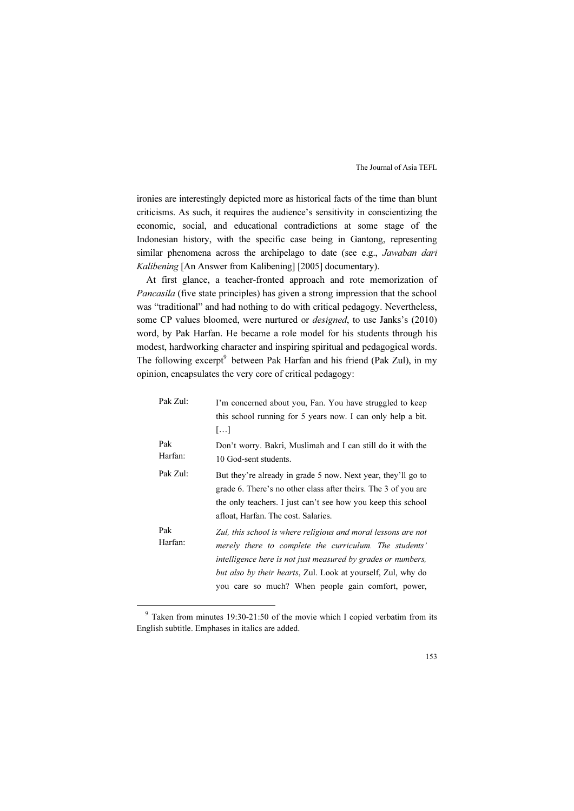ironies are interestingly depicted more as historical facts of the time than blunt criticisms. As such, it requires the audience's sensitivity in conscientizing the economic, social, and educational contradictions at some stage of the Indonesian history, with the specific case being in Gantong, representing similar phenomena across the archipelago to date (see e.g., Jawaban dari Kalibening [An Answer from Kalibening] [2005] documentary).

At first glance, a teacher-fronted approach and rote memorization of Pancasila (five state principles) has given a strong impression that the school was "traditional" and had nothing to do with critical pedagogy. Nevertheless, some CP values bloomed, were nurtured or designed, to use Janks's (2010) word, by Pak Harfan. He became a role model for his students through his modest, hardworking character and inspiring spiritual and pedagogical words. The following excerpt<sup>9</sup> between Pak Harfan and his friend (Pak Zul), in my opinion, encapsulates the very core of critical pedagogy:

| Pak Zul:       | I'm concerned about you, Fan. You have struggled to keep                                                                                                                                                                                                                                                      |
|----------------|---------------------------------------------------------------------------------------------------------------------------------------------------------------------------------------------------------------------------------------------------------------------------------------------------------------|
|                | this school running for 5 years now. I can only help a bit.                                                                                                                                                                                                                                                   |
|                | $[\dots]$                                                                                                                                                                                                                                                                                                     |
| Pak<br>Harfan: | Don't worry. Bakri, Muslimah and I can still do it with the<br>10 God-sent students.                                                                                                                                                                                                                          |
| Pak Zul:       | But they're already in grade 5 now. Next year, they'll go to<br>grade 6. There's no other class after theirs. The 3 of you are<br>the only teachers. I just can't see how you keep this school<br>afloat, Harfan. The cost. Salaries.                                                                         |
| Pak<br>Harfan: | Zul, this school is where religious and moral lessons are not<br>merely there to complete the curriculum. The students'<br>intelligence here is not just measured by grades or numbers,<br>but also by their hearts, Zul. Look at yourself, Zul, why do<br>you care so much? When people gain comfort, power, |

<sup>&</sup>lt;sup>9</sup> Taken from minutes 19:30-21:50 of the movie which I copied verbatim from its English subtitle. Emphases in italics are added.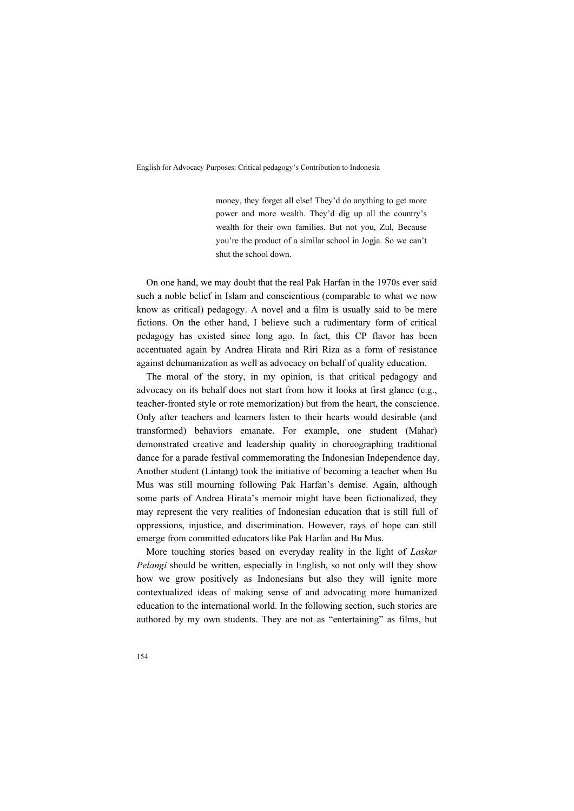money, they forget all else! They'd do anything to get more power and more wealth. They'd dig up all the country's wealth for their own families. But not you, Zul, Because you're the product of a similar school in Jogja. So we can't shut the school down.

On one hand, we may doubt that the real Pak Harfan in the 1970s ever said such a noble belief in Islam and conscientious (comparable to what we now know as critical) pedagogy. A novel and a film is usually said to be mere fictions. On the other hand, I believe such a rudimentary form of critical pedagogy has existed since long ago. In fact, this CP flavor has been accentuated again by Andrea Hirata and Riri Riza as a form of resistance against dehumanization as well as advocacy on behalf of quality education.

The moral of the story, in my opinion, is that critical pedagogy and advocacy on its behalf does not start from how it looks at first glance (e.g., teacher-fronted style or rote memorization) but from the heart, the conscience. Only after teachers and learners listen to their hearts would desirable (and transformed) behaviors emanate. For example, one student (Mahar) demonstrated creative and leadership quality in choreographing traditional dance for a parade festival commemorating the Indonesian Independence day. Another student (Lintang) took the initiative of becoming a teacher when Bu Mus was still mourning following Pak Harfan's demise. Again, although some parts of Andrea Hirata's memoir might have been fictionalized, they may represent the very realities of Indonesian education that is still full of oppressions, injustice, and discrimination. However, rays of hope can still emerge from committed educators like Pak Harfan and Bu Mus.

More touching stories based on everyday reality in the light of Laskar Pelangi should be written, especially in English, so not only will they show how we grow positively as Indonesians but also they will ignite more contextualized ideas of making sense of and advocating more humanized education to the international world. In the following section, such stories are authored by my own students. They are not as "entertaining" as films, but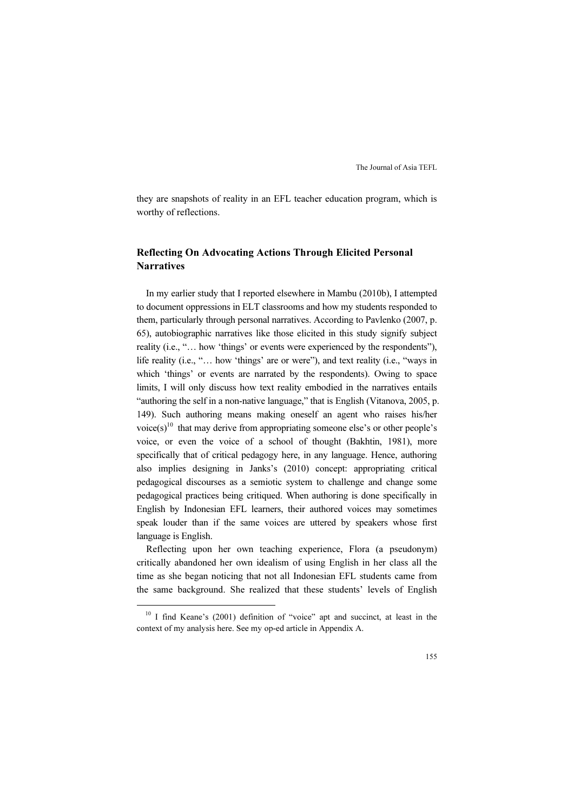they are snapshots of reality in an EFL teacher education program, which is worthy of reflections.

# Reflecting On Advocating Actions Through Elicited Personal **Narratives**

In my earlier study that I reported elsewhere in Mambu (2010b), I attempted to document oppressions in ELT classrooms and how my students responded to them, particularly through personal narratives. According to Pavlenko (2007, p. 65), autobiographic narratives like those elicited in this study signify subject reality (i.e., "… how 'things' or events were experienced by the respondents"), life reality (i.e., "… how 'things' are or were"), and text reality (i.e., "ways in which 'things' or events are narrated by the respondents). Owing to space limits, I will only discuss how text reality embodied in the narratives entails "authoring the self in a non-native language," that is English (Vitanova, 2005, p. 149). Such authoring means making oneself an agent who raises his/her voice(s)<sup>10</sup> that may derive from appropriating someone else's or other people's voice, or even the voice of a school of thought (Bakhtin, 1981), more specifically that of critical pedagogy here, in any language. Hence, authoring also implies designing in Janks's (2010) concept: appropriating critical pedagogical discourses as a semiotic system to challenge and change some pedagogical practices being critiqued. When authoring is done specifically in English by Indonesian EFL learners, their authored voices may sometimes speak louder than if the same voices are uttered by speakers whose first language is English.

Reflecting upon her own teaching experience, Flora (a pseudonym) critically abandoned her own idealism of using English in her class all the time as she began noticing that not all Indonesian EFL students came from the same background. She realized that these students' levels of English

 $10$  I find Keane's (2001) definition of "voice" apt and succinct, at least in the context of my analysis here. See my op-ed article in Appendix A.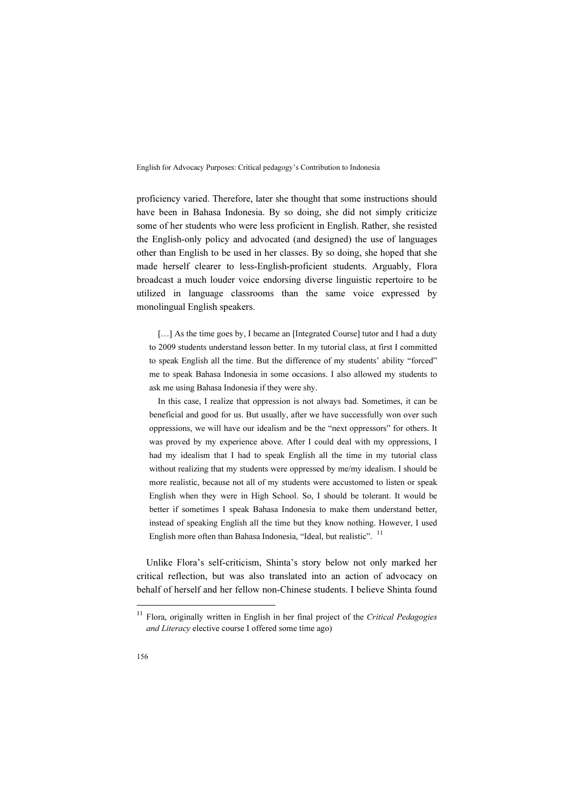proficiency varied. Therefore, later she thought that some instructions should have been in Bahasa Indonesia. By so doing, she did not simply criticize some of her students who were less proficient in English. Rather, she resisted the English-only policy and advocated (and designed) the use of languages other than English to be used in her classes. By so doing, she hoped that she made herself clearer to less-English-proficient students. Arguably, Flora broadcast a much louder voice endorsing diverse linguistic repertoire to be utilized in language classrooms than the same voice expressed by monolingual English speakers.

[...] As the time goes by, I became an [Integrated Course] tutor and I had a duty to 2009 students understand lesson better. In my tutorial class, at first I committed to speak English all the time. But the difference of my students' ability "forced" me to speak Bahasa Indonesia in some occasions. I also allowed my students to ask me using Bahasa Indonesia if they were shy.

In this case, I realize that oppression is not always bad. Sometimes, it can be beneficial and good for us. But usually, after we have successfully won over such oppressions, we will have our idealism and be the "next oppressors" for others. It was proved by my experience above. After I could deal with my oppressions, I had my idealism that I had to speak English all the time in my tutorial class without realizing that my students were oppressed by me/my idealism. I should be more realistic, because not all of my students were accustomed to listen or speak English when they were in High School. So, I should be tolerant. It would be better if sometimes I speak Bahasa Indonesia to make them understand better, instead of speaking English all the time but they know nothing. However, I used English more often than Bahasa Indonesia, "Ideal, but realistic". <sup>11</sup>

Unlike Flora's self-criticism, Shinta's story below not only marked her critical reflection, but was also translated into an action of advocacy on behalf of herself and her fellow non-Chinese students. I believe Shinta found

 $11$  Flora, originally written in English in her final project of the Critical Pedagogies and Literacy elective course I offered some time ago)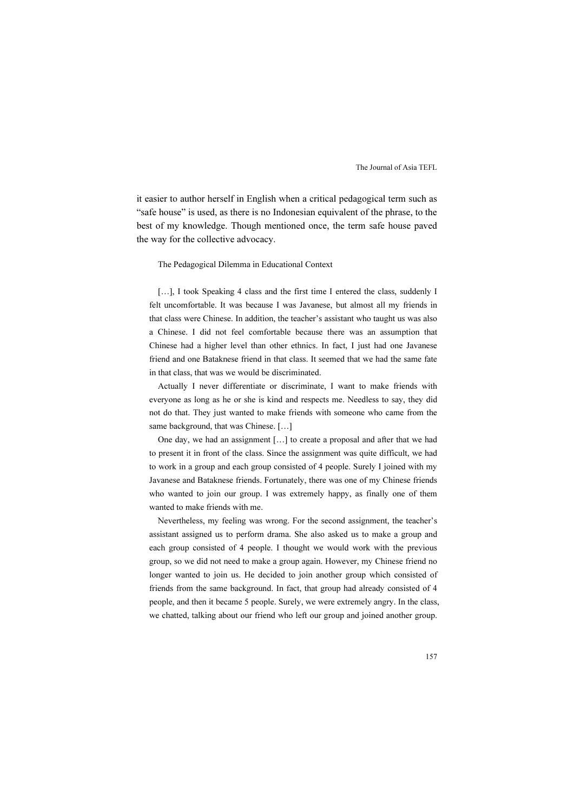it easier to author herself in English when a critical pedagogical term such as "safe house" is used, as there is no Indonesian equivalent of the phrase, to the best of my knowledge. Though mentioned once, the term safe house paved the way for the collective advocacy.

#### The Pedagogical Dilemma in Educational Context

[...], I took Speaking 4 class and the first time I entered the class, suddenly I felt uncomfortable. It was because I was Javanese, but almost all my friends in that class were Chinese. In addition, the teacher's assistant who taught us was also a Chinese. I did not feel comfortable because there was an assumption that Chinese had a higher level than other ethnics. In fact, I just had one Javanese friend and one Bataknese friend in that class. It seemed that we had the same fate in that class, that was we would be discriminated.

Actually I never differentiate or discriminate, I want to make friends with everyone as long as he or she is kind and respects me. Needless to say, they did not do that. They just wanted to make friends with someone who came from the same background, that was Chinese. […]

One day, we had an assignment […] to create a proposal and after that we had to present it in front of the class. Since the assignment was quite difficult, we had to work in a group and each group consisted of 4 people. Surely I joined with my Javanese and Bataknese friends. Fortunately, there was one of my Chinese friends who wanted to join our group. I was extremely happy, as finally one of them wanted to make friends with me.

Nevertheless, my feeling was wrong. For the second assignment, the teacher's assistant assigned us to perform drama. She also asked us to make a group and each group consisted of 4 people. I thought we would work with the previous group, so we did not need to make a group again. However, my Chinese friend no longer wanted to join us. He decided to join another group which consisted of friends from the same background. In fact, that group had already consisted of 4 people, and then it became 5 people. Surely, we were extremely angry. In the class, we chatted, talking about our friend who left our group and joined another group.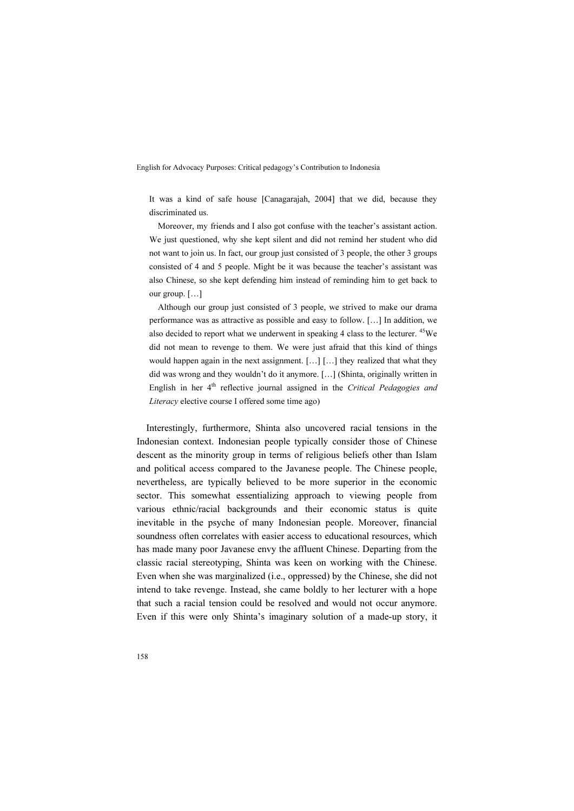It was a kind of safe house [Canagarajah, 2004] that we did, because they discriminated us.

Moreover, my friends and I also got confuse with the teacher's assistant action. We just questioned, why she kept silent and did not remind her student who did not want to join us. In fact, our group just consisted of 3 people, the other 3 groups consisted of 4 and 5 people. Might be it was because the teacher's assistant was also Chinese, so she kept defending him instead of reminding him to get back to our group. […]

Although our group just consisted of 3 people, we strived to make our drama performance was as attractive as possible and easy to follow. […] In addition, we also decided to report what we underwent in speaking 4 class to the lecturer. <sup>45</sup>We did not mean to revenge to them. We were just afraid that this kind of things would happen again in the next assignment. [...] [...] they realized that what they did was wrong and they wouldn't do it anymore. […] (Shinta, originally written in English in her  $4<sup>th</sup>$  reflective journal assigned in the Critical Pedagogies and Literacy elective course I offered some time ago)

Interestingly, furthermore, Shinta also uncovered racial tensions in the Indonesian context. Indonesian people typically consider those of Chinese descent as the minority group in terms of religious beliefs other than Islam and political access compared to the Javanese people. The Chinese people, nevertheless, are typically believed to be more superior in the economic sector. This somewhat essentializing approach to viewing people from various ethnic/racial backgrounds and their economic status is quite inevitable in the psyche of many Indonesian people. Moreover, financial soundness often correlates with easier access to educational resources, which has made many poor Javanese envy the affluent Chinese. Departing from the classic racial stereotyping, Shinta was keen on working with the Chinese. Even when she was marginalized (i.e., oppressed) by the Chinese, she did not intend to take revenge. Instead, she came boldly to her lecturer with a hope that such a racial tension could be resolved and would not occur anymore. Even if this were only Shinta's imaginary solution of a made-up story, it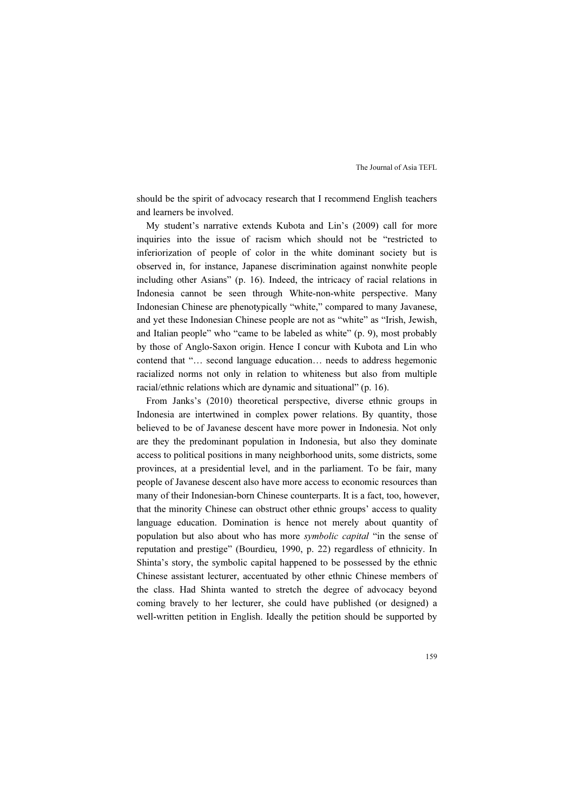should be the spirit of advocacy research that I recommend English teachers and learners be involved.

My student's narrative extends Kubota and Lin's (2009) call for more inquiries into the issue of racism which should not be "restricted to inferiorization of people of color in the white dominant society but is observed in, for instance, Japanese discrimination against nonwhite people including other Asians" (p. 16). Indeed, the intricacy of racial relations in Indonesia cannot be seen through White-non-white perspective. Many Indonesian Chinese are phenotypically "white," compared to many Javanese, and yet these Indonesian Chinese people are not as "white" as "Irish, Jewish, and Italian people" who "came to be labeled as white" (p. 9), most probably by those of Anglo-Saxon origin. Hence I concur with Kubota and Lin who contend that "… second language education… needs to address hegemonic racialized norms not only in relation to whiteness but also from multiple racial/ethnic relations which are dynamic and situational" (p. 16).

From Janks's (2010) theoretical perspective, diverse ethnic groups in Indonesia are intertwined in complex power relations. By quantity, those believed to be of Javanese descent have more power in Indonesia. Not only are they the predominant population in Indonesia, but also they dominate access to political positions in many neighborhood units, some districts, some provinces, at a presidential level, and in the parliament. To be fair, many people of Javanese descent also have more access to economic resources than many of their Indonesian-born Chinese counterparts. It is a fact, too, however, that the minority Chinese can obstruct other ethnic groups' access to quality language education. Domination is hence not merely about quantity of population but also about who has more symbolic capital "in the sense of reputation and prestige" (Bourdieu, 1990, p. 22) regardless of ethnicity. In Shinta's story, the symbolic capital happened to be possessed by the ethnic Chinese assistant lecturer, accentuated by other ethnic Chinese members of the class. Had Shinta wanted to stretch the degree of advocacy beyond coming bravely to her lecturer, she could have published (or designed) a well-written petition in English. Ideally the petition should be supported by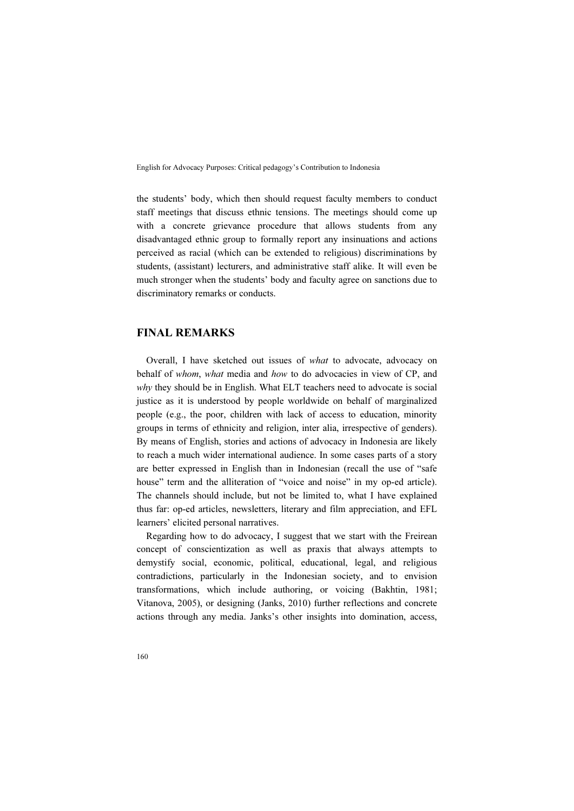the students' body, which then should request faculty members to conduct staff meetings that discuss ethnic tensions. The meetings should come up with a concrete grievance procedure that allows students from any disadvantaged ethnic group to formally report any insinuations and actions perceived as racial (which can be extended to religious) discriminations by students, (assistant) lecturers, and administrative staff alike. It will even be much stronger when the students' body and faculty agree on sanctions due to discriminatory remarks or conducts.

# FINAL REMARKS

Overall, I have sketched out issues of what to advocate, advocacy on behalf of whom, what media and how to do advocacies in view of CP, and why they should be in English. What ELT teachers need to advocate is social justice as it is understood by people worldwide on behalf of marginalized people (e.g., the poor, children with lack of access to education, minority groups in terms of ethnicity and religion, inter alia, irrespective of genders). By means of English, stories and actions of advocacy in Indonesia are likely to reach a much wider international audience. In some cases parts of a story are better expressed in English than in Indonesian (recall the use of "safe house" term and the alliteration of "voice and noise" in my op-ed article). The channels should include, but not be limited to, what I have explained thus far: op-ed articles, newsletters, literary and film appreciation, and EFL learners' elicited personal narratives.

Regarding how to do advocacy, I suggest that we start with the Freirean concept of conscientization as well as praxis that always attempts to demystify social, economic, political, educational, legal, and religious contradictions, particularly in the Indonesian society, and to envision transformations, which include authoring, or voicing (Bakhtin, 1981; Vitanova, 2005), or designing (Janks, 2010) further reflections and concrete actions through any media. Janks's other insights into domination, access,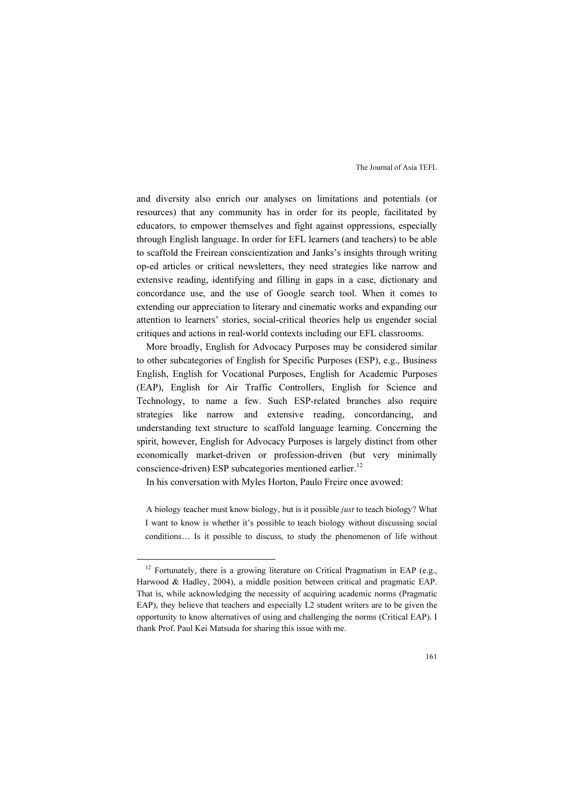and diversity also enrich our analyses on limitations and potentials (or resources) that any community has in order for its people, facilitated by educators, to empower themselves and fight against oppressions, especially through English language. In order for EFL learners (and teachers) to be able to scaffold the Freirean conscientization and Janks's insights through writing op-ed articles or critical newsletters, they need strategies like narrow and extensive reading, identifying and filling in gaps in a case, dictionary and concordance use, and the use of Google search tool. When it comes to extending our appreciation to literary and cinematic works and expanding our attention to learners' stories, social-critical theories help us engender social critiques and actions in real-world contexts including our EFL classrooms.

More broadly, English for Advocacy Purposes may be considered similar to other subcategories of English for Specific Purposes (ESP), e.g., Business English, English for Vocational Purposes, English for Academic Purposes (EAP), English for Air Traffic Controllers, English for Science and Technology, to name a few. Such ESP-related branches also require strategies like narrow and extensive reading, concordancing, and understanding text structure to scaffold language learning. Concerning the spirit, however, English for Advocacy Purposes is largely distinct from other economically market-driven or profession-driven (but very minimally conscience-driven) ESP subcategories mentioned earlier.<sup>12</sup>

In his conversation with Myles Horton, Paulo Freire once avowed:

A biology teacher must know biology, but is it possible just to teach biology? What I want to know is whether it's possible to teach biology without discussing social conditions… Is it possible to discuss, to study the phenomenon of life without

<sup>&</sup>lt;sup>12</sup> Fortunately, there is a growing literature on Critical Pragmatism in EAP (e.g., Harwood & Hadley, 2004), a middle position between critical and pragmatic EAP. That is, while acknowledging the necessity of acquiring academic norms (Pragmatic EAP), they believe that teachers and especially L2 student writers are to be given the opportunity to know alternatives of using and challenging the norms (Critical EAP). I thank Prof. Paul Kei Matsuda for sharing this issue with me.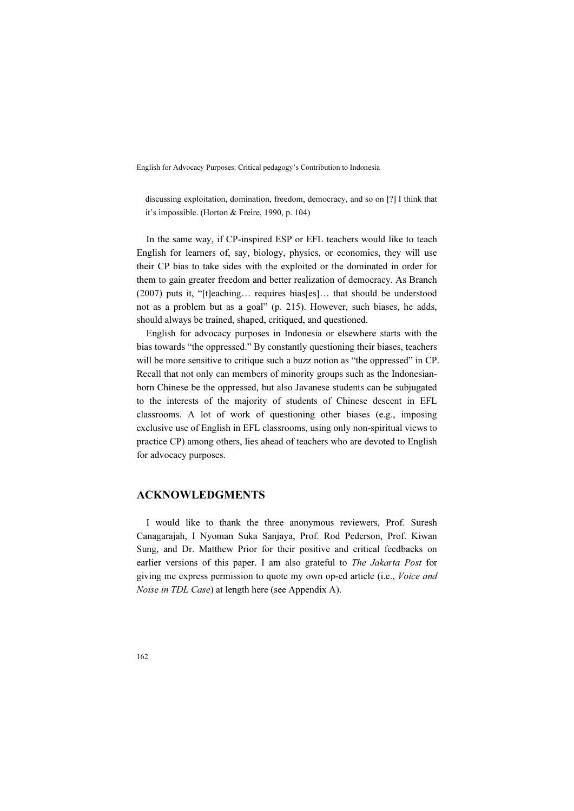discussing exploitation, domination, freedom, democracy, and so on [?] I think that it's impossible. (Horton & Freire, 1990, p. 104)

In the same way, if CP-inspired ESP or EFL teachers would like to teach English for learners of, say, biology, physics, or economics, they will use their CP bias to take sides with the exploited or the dominated in order for them to gain greater freedom and better realization of democracy. As Branch (2007) puts it, "[t]eaching… requires bias[es]… that should be understood not as a problem but as a goal" (p. 215). However, such biases, he adds, should always be trained, shaped, critiqued, and questioned.

English for advocacy purposes in Indonesia or elsewhere starts with the bias towards "the oppressed." By constantly questioning their biases, teachers will be more sensitive to critique such a buzz notion as "the oppressed" in CP. Recall that not only can members of minority groups such as the Indonesianborn Chinese be the oppressed, but also Javanese students can be subjugated to the interests of the majority of students of Chinese descent in EFL classrooms. A lot of work of questioning other biases (e.g., imposing exclusive use of English in EFL classrooms, using only non-spiritual views to practice CP) among others, lies ahead of teachers who are devoted to English for advocacy purposes.

### ACKNOWLEDGMENTS

I would like to thank the three anonymous reviewers, Prof. Suresh Canagarajah, I Nyoman Suka Sanjaya, Prof. Rod Pederson, Prof. Kiwan Sung, and Dr. Matthew Prior for their positive and critical feedbacks on earlier versions of this paper. I am also grateful to The Jakarta Post for giving me express permission to quote my own op-ed article (i.e., Voice and Noise in TDL Case) at length here (see Appendix A).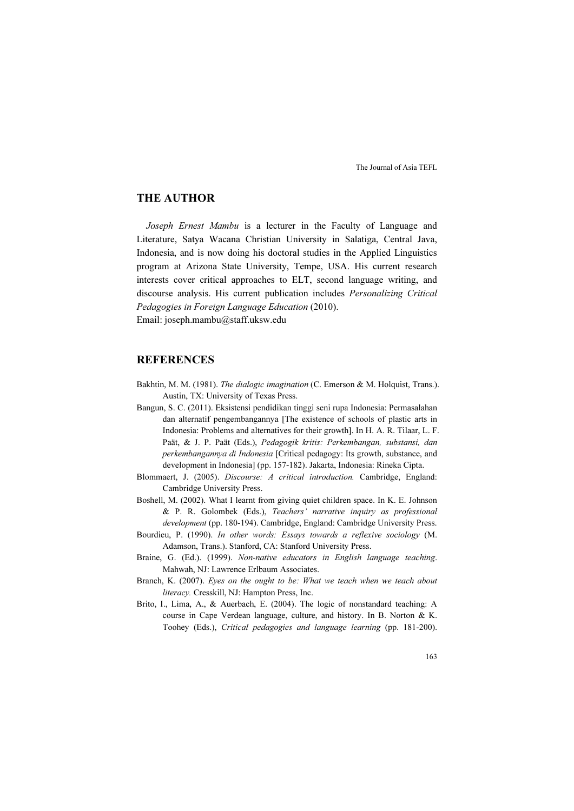## THE AUTHOR

Joseph Ernest Mambu is a lecturer in the Faculty of Language and Literature, Satya Wacana Christian University in Salatiga, Central Java, Indonesia, and is now doing his doctoral studies in the Applied Linguistics program at Arizona State University, Tempe, USA. His current research interests cover critical approaches to ELT, second language writing, and discourse analysis. His current publication includes Personalizing Critical Pedagogies in Foreign Language Education (2010). Email: joseph.mambu@staff.uksw.edu

# **REFERENCES**

- Bakhtin, M. M. (1981). The dialogic imagination (C. Emerson & M. Holquist, Trans.). Austin, TX: University of Texas Press.
- Bangun, S. C. (2011). Eksistensi pendidikan tinggi seni rupa Indonesia: Permasalahan dan alternatif pengembangannya [The existence of schools of plastic arts in Indonesia: Problems and alternatives for their growth]. In H. A. R. Tilaar, L. F. Paät, & J. P. Paät (Eds.), Pedagogik kritis: Perkembangan, substansi, dan perkembangannya di Indonesia [Critical pedagogy: Its growth, substance, and development in Indonesia] (pp. 157-182). Jakarta, Indonesia: Rineka Cipta.
- Blommaert, J. (2005). Discourse: A critical introduction. Cambridge, England: Cambridge University Press.
- Boshell, M. (2002). What I learnt from giving quiet children space. In K. E. Johnson & P. R. Golombek (Eds.), Teachers' narrative inquiry as professional development (pp. 180-194). Cambridge, England: Cambridge University Press.
- Bourdieu, P. (1990). In other words: Essays towards a reflexive sociology (M. Adamson, Trans.). Stanford, CA: Stanford University Press.
- Braine, G. (Ed.). (1999). Non-native educators in English language teaching. Mahwah, NJ: Lawrence Erlbaum Associates.
- Branch, K. (2007). Eyes on the ought to be: What we teach when we teach about literacy. Cresskill, NJ: Hampton Press, Inc.
- Brito, I., Lima, A., & Auerbach, E. (2004). The logic of nonstandard teaching: A course in Cape Verdean language, culture, and history. In B. Norton & K. Toohey (Eds.), Critical pedagogies and language learning (pp. 181-200).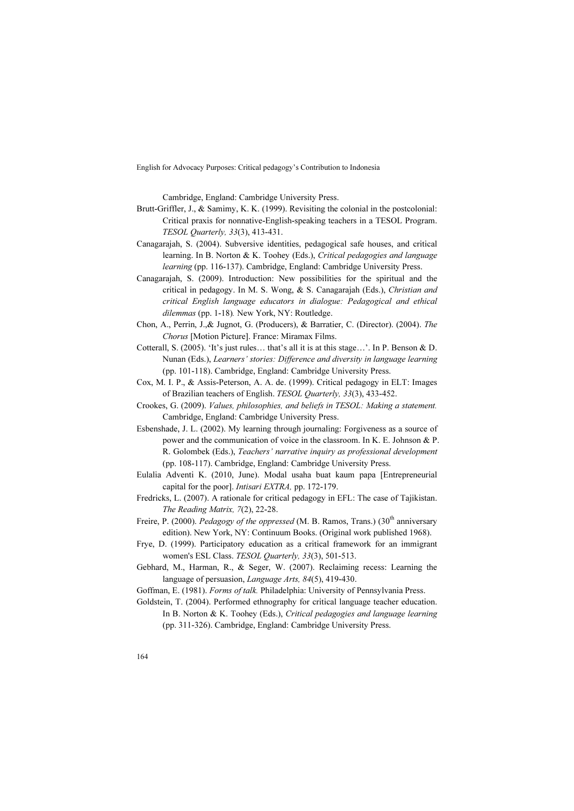Cambridge, England: Cambridge University Press.

- Brutt-Griffler, J., & Samimy, K. K. (1999). Revisiting the colonial in the postcolonial: Critical praxis for nonnative-English-speaking teachers in a TESOL Program. TESOL Quarterly, 33(3), 413-431.
- Canagarajah, S. (2004). Subversive identities, pedagogical safe houses, and critical learning. In B. Norton & K. Toohey (Eds.), Critical pedagogies and language learning (pp. 116-137). Cambridge, England: Cambridge University Press.
- Canagarajah, S. (2009). Introduction: New possibilities for the spiritual and the critical in pedagogy. In M. S. Wong, & S. Canagarajah (Eds.), Christian and critical English language educators in dialogue: Pedagogical and ethical dilemmas (pp. 1-18). New York, NY: Routledge.
- Chon, A., Perrin, J.,& Jugnot, G. (Producers), & Barratier, C. (Director). (2004). The Chorus [Motion Picture]. France: Miramax Films.
- Cotterall, S. (2005). 'It's just rules… that's all it is at this stage…'. In P. Benson & D. Nunan (Eds.), Learners' stories: Difference and diversity in language learning (pp. 101-118). Cambridge, England: Cambridge University Press.
- Cox, M. I. P., & Assis-Peterson, A. A. de. (1999). Critical pedagogy in ELT: Images of Brazilian teachers of English. TESOL Quarterly, 33(3), 433-452.
- Crookes, G. (2009). Values, philosophies, and beliefs in TESOL: Making a statement. Cambridge, England: Cambridge University Press.
- Esbenshade, J. L. (2002). My learning through journaling: Forgiveness as a source of power and the communication of voice in the classroom. In K. E. Johnson & P. R. Golombek (Eds.), Teachers' narrative inquiry as professional development (pp. 108-117). Cambridge, England: Cambridge University Press.
- Eulalia Adventi K. (2010, June). Modal usaha buat kaum papa [Entrepreneurial capital for the poor]. Intisari EXTRA, pp. 172-179.
- Fredricks, L. (2007). A rationale for critical pedagogy in EFL: The case of Tajikistan. The Reading Matrix, 7(2), 22-28.
- Freire, P. (2000). Pedagogy of the oppressed (M. B. Ramos, Trans.) (30<sup>th</sup> anniversary edition). New York, NY: Continuum Books. (Original work published 1968).
- Frye, D. (1999). Participatory education as a critical framework for an immigrant women's ESL Class. TESOL Quarterly, 33(3), 501-513.
- Gebhard, M., Harman, R., & Seger, W. (2007). Reclaiming recess: Learning the language of persuasion, Language Arts, 84(5), 419-430.
- Goffman, E. (1981). Forms of talk. Philadelphia: University of Pennsylvania Press.
- Goldstein, T. (2004). Performed ethnography for critical language teacher education. In B. Norton & K. Toohey (Eds.), Critical pedagogies and language learning (pp. 311-326). Cambridge, England: Cambridge University Press.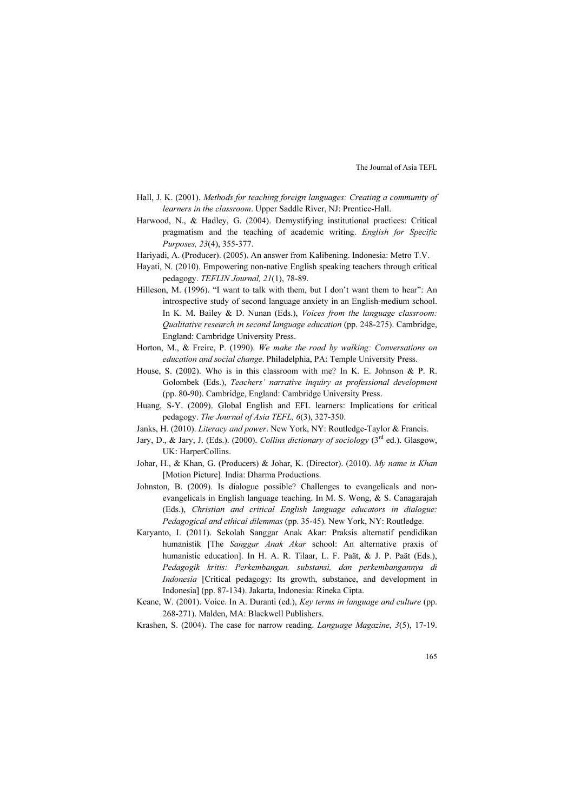- Hall, J. K. (2001). Methods for teaching foreign languages: Creating a community of learners in the classroom. Upper Saddle River, NJ: Prentice-Hall.
- Harwood, N., & Hadley, G. (2004). Demystifying institutional practices: Critical pragmatism and the teaching of academic writing. English for Specific Purposes, 23(4), 355-377.
- Hariyadi, A. (Producer). (2005). An answer from Kalibening. Indonesia: Metro T.V.
- Hayati, N. (2010). Empowering non-native English speaking teachers through critical pedagogy. TEFLIN Journal, 21(1), 78-89.
- Hilleson, M. (1996). "I want to talk with them, but I don't want them to hear": An introspective study of second language anxiety in an English-medium school. In K. M. Bailey & D. Nunan (Eds.), *Voices from the language classroom*: Qualitative research in second language education (pp. 248-275). Cambridge, England: Cambridge University Press.
- Horton, M., & Freire, P. (1990). We make the road by walking: Conversations on education and social change. Philadelphia, PA: Temple University Press.
- House, S. (2002). Who is in this classroom with me? In K. E. Johnson & P. R. Golombek (Eds.), Teachers' narrative inquiry as professional development (pp. 80-90). Cambridge, England: Cambridge University Press.
- Huang, S-Y. (2009). Global English and EFL learners: Implications for critical pedagogy. The Journal of Asia TEFL, 6(3), 327-350.
- Janks, H. (2010). Literacy and power. New York, NY: Routledge-Taylor & Francis.
- Jary, D., & Jary, J. (Eds.). (2000). Collins dictionary of sociology ( $3<sup>rd</sup>$  ed.). Glasgow, UK: HarperCollins.
- Johar, H., & Khan, G. (Producers) & Johar, K. (Director). (2010). My name is Khan [Motion Picture]. India: Dharma Productions.
- Johnston, B. (2009). Is dialogue possible? Challenges to evangelicals and nonevangelicals in English language teaching. In M. S. Wong, & S. Canagarajah (Eds.), Christian and critical English language educators in dialogue: Pedagogical and ethical dilemmas (pp. 35-45). New York, NY: Routledge.
- Karyanto, I. (2011). Sekolah Sanggar Anak Akar: Praksis alternatif pendidikan humanistik [The Sanggar Anak Akar school: An alternative praxis of humanistic education]. In H. A. R. Tilaar, L. F. Paät, & J. P. Paät (Eds.), Pedagogik kritis: Perkembangan, substansi, dan perkembangannya di Indonesia [Critical pedagogy: Its growth, substance, and development in Indonesia] (pp. 87-134). Jakarta, Indonesia: Rineka Cipta.
- Keane, W. (2001). Voice. In A. Duranti (ed.), Key terms in language and culture (pp. 268-271). Malden, MA: Blackwell Publishers.
- Krashen, S. (2004). The case for narrow reading. Language Magazine, 3(5), 17-19.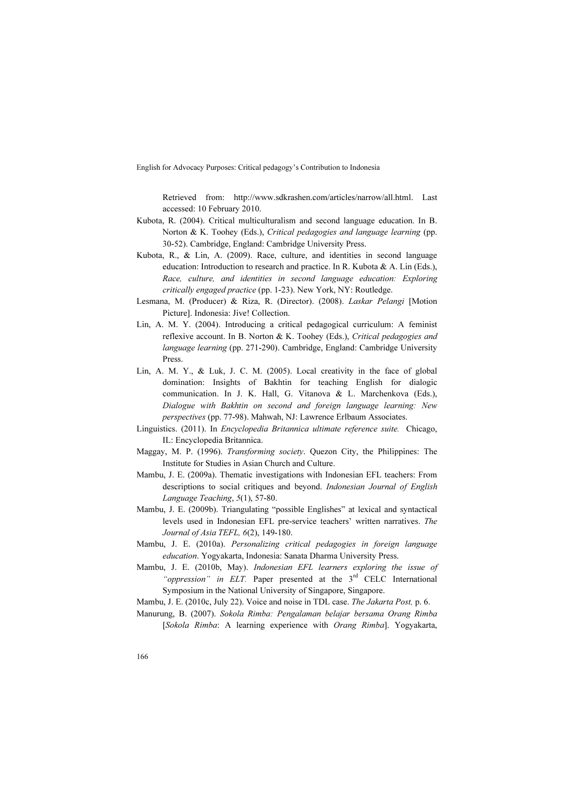Retrieved from: http://www.sdkrashen.com/articles/narrow/all.html. Last accessed: 10 February 2010.

- Kubota, R. (2004). Critical multiculturalism and second language education. In B. Norton & K. Toohey (Eds.), Critical pedagogies and language learning (pp. 30-52). Cambridge, England: Cambridge University Press.
- Kubota, R., & Lin, A. (2009). Race, culture, and identities in second language education: Introduction to research and practice. In R. Kubota & A. Lin (Eds.), Race, culture, and identities in second language education: Exploring critically engaged practice (pp. 1-23). New York, NY: Routledge.
- Lesmana, M. (Producer) & Riza, R. (Director). (2008). Laskar Pelangi [Motion Picture]. Indonesia: Jive! Collection.
- Lin, A. M. Y. (2004). Introducing a critical pedagogical curriculum: A feminist reflexive account. In B. Norton & K. Toohey (Eds.), Critical pedagogies and language learning (pp. 271-290). Cambridge, England: Cambridge University Press.
- Lin, A. M. Y., & Luk, J. C. M. (2005). Local creativity in the face of global domination: Insights of Bakhtin for teaching English for dialogic communication. In J. K. Hall, G. Vitanova & L. Marchenkova (Eds.), Dialogue with Bakhtin on second and foreign language learning: New perspectives (pp. 77-98). Mahwah, NJ: Lawrence Erlbaum Associates.
- Linguistics. (2011). In Encyclopedia Britannica ultimate reference suite. Chicago, IL: Encyclopedia Britannica.
- Maggay, M. P. (1996). Transforming society. Quezon City, the Philippines: The Institute for Studies in Asian Church and Culture.
- Mambu, J. E. (2009a). Thematic investigations with Indonesian EFL teachers: From descriptions to social critiques and beyond. *Indonesian Journal of English* Language Teaching, 5(1), 57-80.
- Mambu, J. E. (2009b). Triangulating "possible Englishes" at lexical and syntactical levels used in Indonesian EFL pre-service teachers' written narratives. The Journal of Asia TEFL, 6(2), 149-180.
- Mambu, J. E. (2010a). Personalizing critical pedagogies in foreign language education. Yogyakarta, Indonesia: Sanata Dharma University Press.
- Mambu, J. E. (2010b, May). Indonesian EFL learners exploring the issue of "oppression" in ELT. Paper presented at the 3<sup>rd</sup> CELC International Symposium in the National University of Singapore, Singapore.

Mambu, J. E. (2010c, July 22). Voice and noise in TDL case. The Jakarta Post, p. 6.

Manurung, B. (2007). Sokola Rimba: Pengalaman belajar bersama Orang Rimba [Sokola Rimba: A learning experience with Orang Rimba]. Yogyakarta,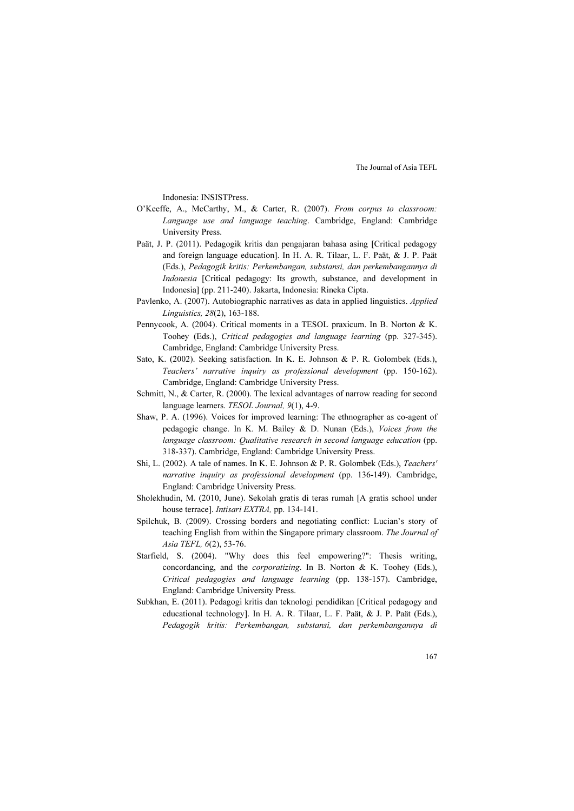Indonesia: INSISTPress.

- O'Keeffe, A., McCarthy, M., & Carter, R. (2007). From corpus to classroom: Language use and language teaching. Cambridge, England: Cambridge University Press.
- Paät, J. P. (2011). Pedagogik kritis dan pengajaran bahasa asing [Critical pedagogy and foreign language education]. In H. A. R. Tilaar, L. F. Paät, & J. P. Paät (Eds.), Pedagogik kritis: Perkembangan, substansi, dan perkembangannya di Indonesia [Critical pedagogy: Its growth, substance, and development in Indonesia] (pp. 211-240). Jakarta, Indonesia: Rineka Cipta.
- Pavlenko, A. (2007). Autobiographic narratives as data in applied linguistics. Applied Linguistics, 28(2), 163-188.
- Pennycook, A. (2004). Critical moments in a TESOL praxicum. In B. Norton & K. Toohey (Eds.), Critical pedagogies and language learning (pp. 327-345). Cambridge, England: Cambridge University Press.
- Sato, K. (2002). Seeking satisfaction. In K. E. Johnson & P. R. Golombek (Eds.), Teachers' narrative inquiry as professional development (pp. 150-162). Cambridge, England: Cambridge University Press.
- Schmitt, N., & Carter, R. (2000). The lexical advantages of narrow reading for second language learners. TESOL Journal, 9(1), 4-9.
- Shaw, P. A. (1996). Voices for improved learning: The ethnographer as co-agent of pedagogic change. In K. M. Bailey & D. Nunan (Eds.), Voices from the language classroom: Qualitative research in second language education (pp. 318-337). Cambridge, England: Cambridge University Press.
- Shi, L. (2002). A tale of names. In K. E. Johnson & P. R. Golombek (Eds.), Teachers' narrative inquiry as professional development (pp. 136-149). Cambridge, England: Cambridge University Press.
- Sholekhudin, M. (2010, June). Sekolah gratis di teras rumah [A gratis school under house terrace]. Intisari EXTRA, pp. 134-141.
- Spilchuk, B. (2009). Crossing borders and negotiating conflict: Lucian's story of teaching English from within the Singapore primary classroom. The Journal of Asia TEFL, 6(2), 53-76.
- Starfield, S. (2004). "Why does this feel empowering?": Thesis writing, concordancing, and the corporatizing. In B. Norton & K. Toohey (Eds.), Critical pedagogies and language learning (pp. 138-157). Cambridge, England: Cambridge University Press.
- Subkhan, E. (2011). Pedagogi kritis dan teknologi pendidikan [Critical pedagogy and educational technology]. In H. A. R. Tilaar, L. F. Paät, & J. P. Paät (Eds.), Pedagogik kritis: Perkembangan, substansi, dan perkembangannya di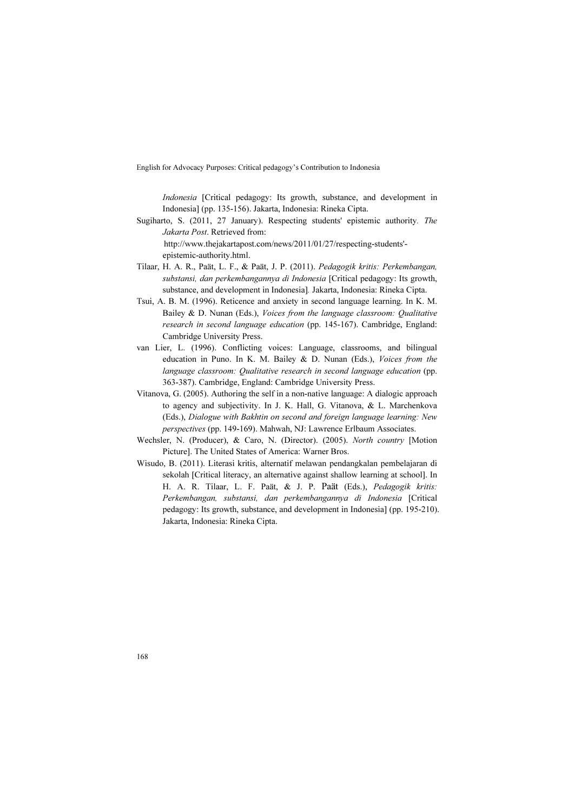Indonesia [Critical pedagogy: Its growth, substance, and development in Indonesia] (pp. 135-156). Jakarta, Indonesia: Rineka Cipta.

Sugiharto, S. (2011, 27 January). Respecting students' epistemic authority. The Jakarta Post. Retrieved from:

http://www.thejakartapost.com/news/2011/01/27/respecting-students' epistemic-authority.html.

- Tilaar, H. A. R., Paät, L. F., & Paät, J. P. (2011). Pedagogik kritis: Perkembangan, substansi, dan perkembangannya di Indonesia [Critical pedagogy: Its growth, substance, and development in Indonesia]. Jakarta, Indonesia: Rineka Cipta.
- Tsui, A. B. M. (1996). Reticence and anxiety in second language learning. In K. M. Bailey & D. Nunan (Eds.), *Voices from the language classroom: Qualitative* research in second language education (pp. 145-167). Cambridge, England: Cambridge University Press.
- van Lier, L. (1996). Conflicting voices: Language, classrooms, and bilingual education in Puno. In K. M. Bailey & D. Nunan (Eds.), Voices from the language classroom: Qualitative research in second language education (pp. 363-387). Cambridge, England: Cambridge University Press.
- Vitanova, G. (2005). Authoring the self in a non-native language: A dialogic approach to agency and subjectivity. In J. K. Hall, G. Vitanova, & L. Marchenkova (Eds.), Dialogue with Bakhtin on second and foreign language learning: New perspectives (pp. 149-169). Mahwah, NJ: Lawrence Erlbaum Associates.
- Wechsler, N. (Producer), & Caro, N. (Director). (2005). North country [Motion Picture]. The United States of America: Warner Bros.
- Wisudo, B. (2011). Literasi kritis, alternatif melawan pendangkalan pembelajaran di sekolah [Critical literacy, an alternative against shallow learning at school]. In H. A. R. Tilaar, L. F. Paät, & J. P. Paät (Eds.), Pedagogik kritis: Perkembangan, substansi, dan perkembangannya di Indonesia [Critical pedagogy: Its growth, substance, and development in Indonesia] (pp. 195-210). Jakarta, Indonesia: Rineka Cipta.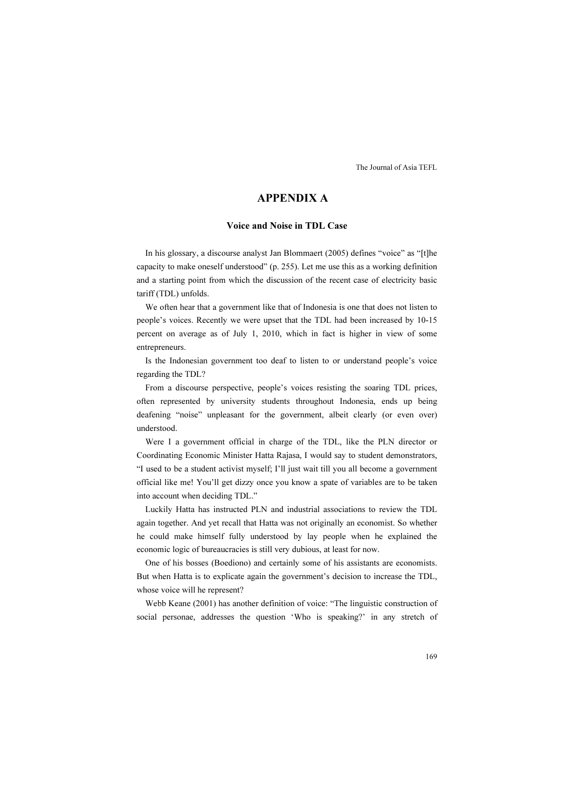# APPENDIX A

### Voice and Noise in TDL Case

In his glossary, a discourse analyst Jan Blommaert (2005) defines "voice" as "[t]he capacity to make oneself understood" (p. 255). Let me use this as a working definition and a starting point from which the discussion of the recent case of electricity basic tariff (TDL) unfolds.

We often hear that a government like that of Indonesia is one that does not listen to people's voices. Recently we were upset that the TDL had been increased by 10-15 percent on average as of July 1, 2010, which in fact is higher in view of some entrepreneurs.

Is the Indonesian government too deaf to listen to or understand people's voice regarding the TDL?

From a discourse perspective, people's voices resisting the soaring TDL prices, often represented by university students throughout Indonesia, ends up being deafening "noise" unpleasant for the government, albeit clearly (or even over) understood.

Were I a government official in charge of the TDL, like the PLN director or Coordinating Economic Minister Hatta Rajasa, I would say to student demonstrators, "I used to be a student activist myself; I'll just wait till you all become a government official like me! You'll get dizzy once you know a spate of variables are to be taken into account when deciding TDL."

Luckily Hatta has instructed PLN and industrial associations to review the TDL again together. And yet recall that Hatta was not originally an economist. So whether he could make himself fully understood by lay people when he explained the economic logic of bureaucracies is still very dubious, at least for now.

One of his bosses (Boediono) and certainly some of his assistants are economists. But when Hatta is to explicate again the government's decision to increase the TDL, whose voice will he represent?

Webb Keane (2001) has another definition of voice: "The linguistic construction of social personae, addresses the question 'Who is speaking?' in any stretch of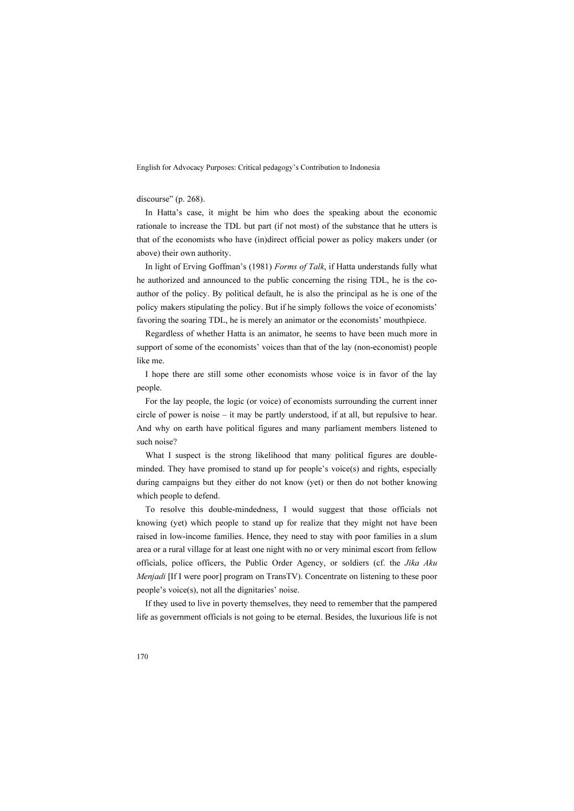discourse" (p. 268).

In Hatta's case, it might be him who does the speaking about the economic rationale to increase the TDL but part (if not most) of the substance that he utters is that of the economists who have (in)direct official power as policy makers under (or above) their own authority.

In light of Erving Goffman's (1981) Forms of Talk, if Hatta understands fully what he authorized and announced to the public concerning the rising TDL, he is the coauthor of the policy. By political default, he is also the principal as he is one of the policy makers stipulating the policy. But if he simply follows the voice of economists' favoring the soaring TDL, he is merely an animator or the economists' mouthpiece.

Regardless of whether Hatta is an animator, he seems to have been much more in support of some of the economists' voices than that of the lay (non-economist) people like me.

I hope there are still some other economists whose voice is in favor of the lay people.

For the lay people, the logic (or voice) of economists surrounding the current inner circle of power is noise – it may be partly understood, if at all, but repulsive to hear. And why on earth have political figures and many parliament members listened to such noise?

What I suspect is the strong likelihood that many political figures are doubleminded. They have promised to stand up for people's voice(s) and rights, especially during campaigns but they either do not know (yet) or then do not bother knowing which people to defend.

To resolve this double-mindedness, I would suggest that those officials not knowing (yet) which people to stand up for realize that they might not have been raised in low-income families. Hence, they need to stay with poor families in a slum area or a rural village for at least one night with no or very minimal escort from fellow officials, police officers, the Public Order Agency, or soldiers (cf. the Jika Aku Menjadi [If I were poor] program on TransTV). Concentrate on listening to these poor people's voice(s), not all the dignitaries' noise.

If they used to live in poverty themselves, they need to remember that the pampered life as government officials is not going to be eternal. Besides, the luxurious life is not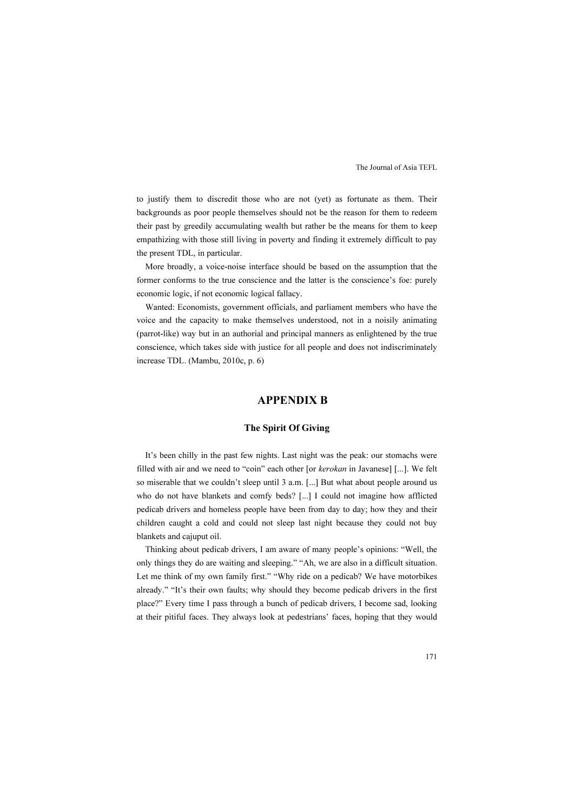to justify them to discredit those who are not (yet) as fortunate as them. Their backgrounds as poor people themselves should not be the reason for them to redeem their past by greedily accumulating wealth but rather be the means for them to keep empathizing with those still living in poverty and finding it extremely difficult to pay the present TDL, in particular.

More broadly, a voice-noise interface should be based on the assumption that the former conforms to the true conscience and the latter is the conscience's foe: purely economic logic, if not economic logical fallacy.

Wanted: Economists, government officials, and parliament members who have the voice and the capacity to make themselves understood, not in a noisily animating (parrot-like) way but in an authorial and principal manners as enlightened by the true conscience, which takes side with justice for all people and does not indiscriminately increase TDL. (Mambu, 2010c, p. 6)

### APPENDIX B

### The Spirit Of Giving

It's been chilly in the past few nights. Last night was the peak: our stomachs were filled with air and we need to "coin" each other [or kerokan in Javanese] [...]. We felt so miserable that we couldn't sleep until 3 a.m. [...] But what about people around us who do not have blankets and comfy beds? [...] I could not imagine how afflicted pedicab drivers and homeless people have been from day to day; how they and their children caught a cold and could not sleep last night because they could not buy blankets and cajuput oil.

Thinking about pedicab drivers, I am aware of many people's opinions: "Well, the only things they do are waiting and sleeping." "Ah, we are also in a difficult situation. Let me think of my own family first." "Why ride on a pedicab? We have motorbikes already." "It's their own faults; why should they become pedicab drivers in the first place?" Every time I pass through a bunch of pedicab drivers, I become sad, looking at their pitiful faces. They always look at pedestrians' faces, hoping that they would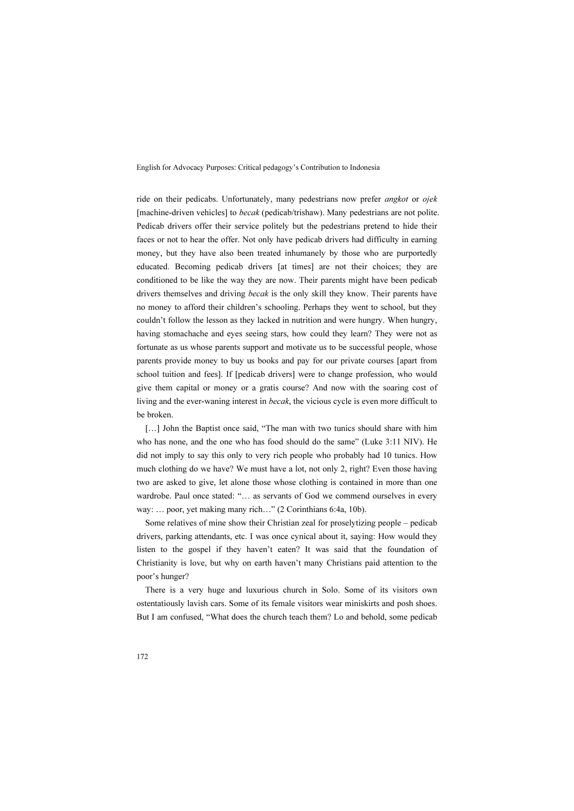ride on their pedicabs. Unfortunately, many pedestrians now prefer *angkot* or *ojek* [machine-driven vehicles] to *becak* (pedicab/trishaw). Many pedestrians are not polite. Pedicab drivers offer their service politely but the pedestrians pretend to hide their faces or not to hear the offer. Not only have pedicab drivers had difficulty in earning money, but they have also been treated inhumanely by those who are purportedly educated. Becoming pedicab drivers [at times] are not their choices; they are conditioned to be like the way they are now. Their parents might have been pedicab drivers themselves and driving *becak* is the only skill they know. Their parents have no money to afford their children's schooling. Perhaps they went to school, but they couldn't follow the lesson as they lacked in nutrition and were hungry. When hungry, having stomachache and eyes seeing stars, how could they learn? They were not as fortunate as us whose parents support and motivate us to be successful people, whose parents provide money to buy us books and pay for our private courses [apart from school tuition and fees]. If [pedicab drivers] were to change profession, who would give them capital or money or a gratis course? And now with the soaring cost of living and the ever-waning interest in becak, the vicious cycle is even more difficult to be broken.

[...] John the Baptist once said, "The man with two tunics should share with him who has none, and the one who has food should do the same" (Luke 3:11 NIV). He did not imply to say this only to very rich people who probably had 10 tunics. How much clothing do we have? We must have a lot, not only 2, right? Even those having two are asked to give, let alone those whose clothing is contained in more than one wardrobe. Paul once stated: "… as servants of God we commend ourselves in every way: … poor, yet making many rich…" (2 Corinthians 6:4a, 10b).

Some relatives of mine show their Christian zeal for proselytizing people – pedicab drivers, parking attendants, etc. I was once cynical about it, saying: How would they listen to the gospel if they haven't eaten? It was said that the foundation of Christianity is love, but why on earth haven't many Christians paid attention to the poor's hunger?

There is a very huge and luxurious church in Solo. Some of its visitors own ostentatiously lavish cars. Some of its female visitors wear miniskirts and posh shoes. But I am confused, "What does the church teach them? Lo and behold, some pedicab